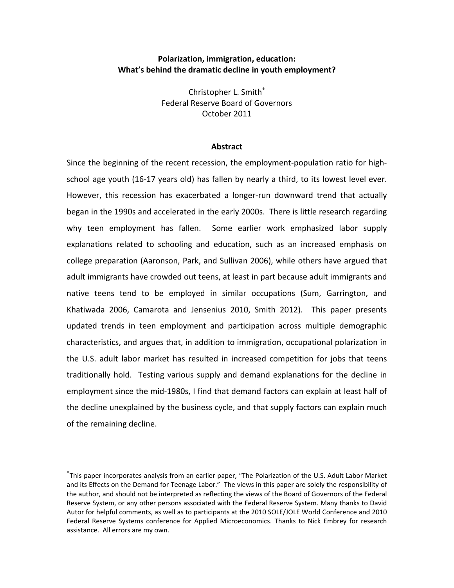# **Polarization, immigration, education: What's behind the dramatic decline in youth employment?**

Christopher L. Smith Federal Reserve Board of Governors October 2011

### **Abstract**

Since the beginning of the recent recession, the employment‐population ratio for high‐ school age youth (16-17 years old) has fallen by nearly a third, to its lowest level ever. However, this recession has exacerbated a longer-run downward trend that actually began in the 1990s and accelerated in the early 2000s. There is little research regarding why teen employment has fallen. Some earlier work emphasized labor supply explanations related to schooling and education, such as an increased emphasis on college preparation (Aaronson, Park, and Sullivan 2006), while others have argued that adult immigrants have crowded out teens, at least in part because adult immigrants and native teens tend to be employed in similar occupations (Sum, Garrington, and Khatiwada 2006, Camarota and Jensenius 2010, Smith 2012). This paper presents updated trends in teen employment and participation across multiple demographic characteristics, and argues that, in addition to immigration, occupational polarization in the U.S. adult labor market has resulted in increased competition for jobs that teens traditionally hold. Testing various supply and demand explanations for the decline in employment since the mid‐1980s, I find that demand factors can explain at least half of the decline unexplained by the business cycle, and that supply factors can explain much of the remaining decline.

<u>.</u>

This paper incorporates analysis from an earlier paper, "The Polarization of the U.S. Adult Labor Market and its Effects on the Demand for Teenage Labor." The views in this paper are solely the responsibility of the author, and should not be interpreted as reflecting the views of the Board of Governors of the Federal Reserve System, or any other persons associated with the Federal Reserve System. Many thanks to David Autor for helpful comments, as well as to participants at the 2010 SOLE/JOLE World Conference and 2010 Federal Reserve Systems conference for Applied Microeconomics. Thanks to Nick Embrey for research assistance. All errors are my own.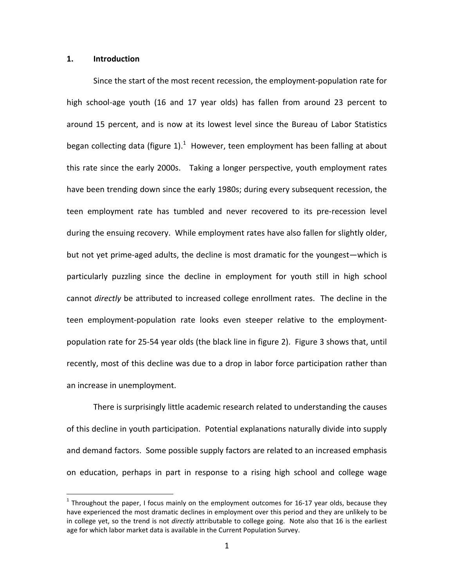## **1. Introduction**

1

Since the start of the most recent recession, the employment‐population rate for high school‐age youth (16 and 17 year olds) has fallen from around 23 percent to around 15 percent, and is now at its lowest level since the Bureau of Labor Statistics began collecting data (figure 1). $^1$  However, teen employment has been falling at about this rate since the early 2000s. Taking a longer perspective, youth employment rates have been trending down since the early 1980s; during every subsequent recession, the teen employment rate has tumbled and never recovered to its pre‐recession level during the ensuing recovery. While employment rates have also fallen for slightly older, but not yet prime‐aged adults, the decline is most dramatic for the youngest—which is particularly puzzling since the decline in employment for youth still in high school cannot *directly* be attributed to increased college enrollment rates. The decline in the teen employment‐population rate looks even steeper relative to the employment‐ population rate for 25‐54 year olds (the black line in figure 2). Figure 3 shows that, until recently, most of this decline was due to a drop in labor force participation rather than an increase in unemployment.

There is surprisingly little academic research related to understanding the causes of this decline in youth participation. Potential explanations naturally divide into supply and demand factors. Some possible supply factors are related to an increased emphasis on education, perhaps in part in response to a rising high school and college wage

<sup>&</sup>lt;sup>1</sup> Throughout the paper, I focus mainly on the employment outcomes for 16-17 year olds, because they have experienced the most dramatic declines in employment over this period and they are unlikely to be in college yet, so the trend is not *directly* attributable to college going. Note also that 16 is the earliest age for which labor market data is available in the Current Population Survey.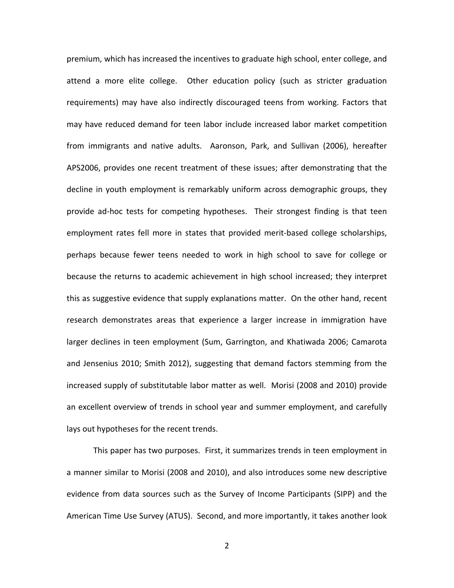premium, which has increased the incentives to graduate high school, enter college, and attend a more elite college. Other education policy (such as stricter graduation requirements) may have also indirectly discouraged teens from working. Factors that may have reduced demand for teen labor include increased labor market competition from immigrants and native adults. Aaronson, Park, and Sullivan (2006), hereafter APS2006, provides one recent treatment of these issues; after demonstrating that the decline in youth employment is remarkably uniform across demographic groups, they provide ad‐hoc tests for competing hypotheses. Their strongest finding is that teen employment rates fell more in states that provided merit‐based college scholarships, perhaps because fewer teens needed to work in high school to save for college or because the returns to academic achievement in high school increased; they interpret this as suggestive evidence that supply explanations matter. On the other hand, recent research demonstrates areas that experience a larger increase in immigration have larger declines in teen employment (Sum, Garrington, and Khatiwada 2006; Camarota and Jensenius 2010; Smith 2012), suggesting that demand factors stemming from the increased supply of substitutable labor matter as well. Morisi (2008 and 2010) provide an excellent overview of trends in school year and summer employment, and carefully lays out hypotheses for the recent trends.

This paper has two purposes. First, it summarizes trends in teen employment in a manner similar to Morisi (2008 and 2010), and also introduces some new descriptive evidence from data sources such as the Survey of Income Participants (SIPP) and the American Time Use Survey (ATUS). Second, and more importantly, it takes another look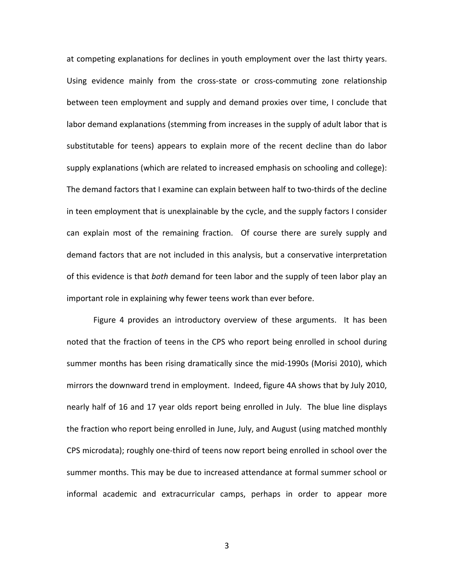at competing explanations for declines in youth employment over the last thirty years. Using evidence mainly from the cross‐state or cross‐commuting zone relationship between teen employment and supply and demand proxies over time, I conclude that labor demand explanations (stemming from increases in the supply of adult labor that is substitutable for teens) appears to explain more of the recent decline than do labor supply explanations (which are related to increased emphasis on schooling and college): The demand factors that I examine can explain between half to two‐thirds of the decline in teen employment that is unexplainable by the cycle, and the supply factors I consider can explain most of the remaining fraction. Of course there are surely supply and demand factors that are not included in this analysis, but a conservative interpretation of this evidence is that *both* demand for teen labor and the supply of teen labor play an important role in explaining why fewer teens work than ever before.

Figure 4 provides an introductory overview of these arguments. It has been noted that the fraction of teens in the CPS who report being enrolled in school during summer months has been rising dramatically since the mid‐1990s (Morisi 2010), which mirrors the downward trend in employment. Indeed, figure 4A shows that by July 2010, nearly half of 16 and 17 year olds report being enrolled in July. The blue line displays the fraction who report being enrolled in June, July, and August (using matched monthly CPS microdata); roughly one‐third of teens now report being enrolled in school over the summer months. This may be due to increased attendance at formal summer school or informal academic and extracurricular camps, perhaps in order to appear more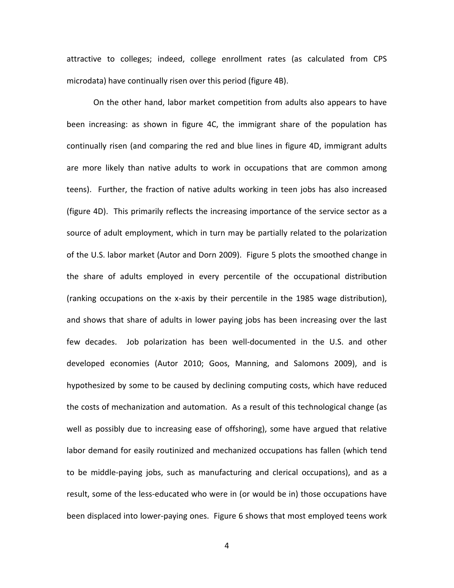attractive to colleges; indeed, college enrollment rates (as calculated from CPS microdata) have continually risen over this period (figure 4B).

On the other hand, labor market competition from adults also appears to have been increasing: as shown in figure 4C, the immigrant share of the population has continually risen (and comparing the red and blue lines in figure 4D, immigrant adults are more likely than native adults to work in occupations that are common among teens). Further, the fraction of native adults working in teen jobs has also increased (figure 4D). This primarily reflects the increasing importance of the service sector as a source of adult employment, which in turn may be partially related to the polarization of the U.S. labor market (Autor and Dorn 2009). Figure 5 plots the smoothed change in the share of adults employed in every percentile of the occupational distribution (ranking occupations on the x‐axis by their percentile in the 1985 wage distribution), and shows that share of adults in lower paying jobs has been increasing over the last few decades. Job polarization has been well-documented in the U.S. and other developed economies (Autor 2010; Goos, Manning, and Salomons 2009), and is hypothesized by some to be caused by declining computing costs, which have reduced the costs of mechanization and automation. As a result of this technological change (as well as possibly due to increasing ease of offshoring), some have argued that relative labor demand for easily routinized and mechanized occupations has fallen (which tend to be middle‐paying jobs, such as manufacturing and clerical occupations), and as a result, some of the less-educated who were in (or would be in) those occupations have been displaced into lower‐paying ones. Figure 6 shows that most employed teens work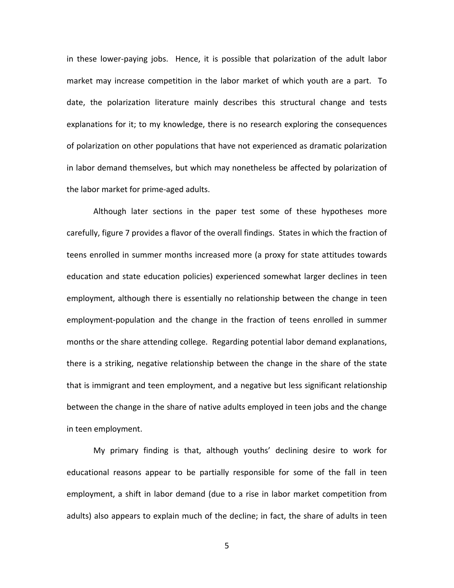in these lower-paying jobs. Hence, it is possible that polarization of the adult labor market may increase competition in the labor market of which youth are a part. To date, the polarization literature mainly describes this structural change and tests explanations for it; to my knowledge, there is no research exploring the consequences of polarization on other populations that have not experienced as dramatic polarization in labor demand themselves, but which may nonetheless be affected by polarization of the labor market for prime‐aged adults.

Although later sections in the paper test some of these hypotheses more carefully, figure 7 provides a flavor of the overall findings. States in which the fraction of teens enrolled in summer months increased more (a proxy for state attitudes towards education and state education policies) experienced somewhat larger declines in teen employment, although there is essentially no relationship between the change in teen employment-population and the change in the fraction of teens enrolled in summer months or the share attending college. Regarding potential labor demand explanations, there is a striking, negative relationship between the change in the share of the state that is immigrant and teen employment, and a negative but less significant relationship between the change in the share of native adults employed in teen jobs and the change in teen employment.

My primary finding is that, although youths' declining desire to work for educational reasons appear to be partially responsible for some of the fall in teen employment, a shift in labor demand (due to a rise in labor market competition from adults) also appears to explain much of the decline; in fact, the share of adults in teen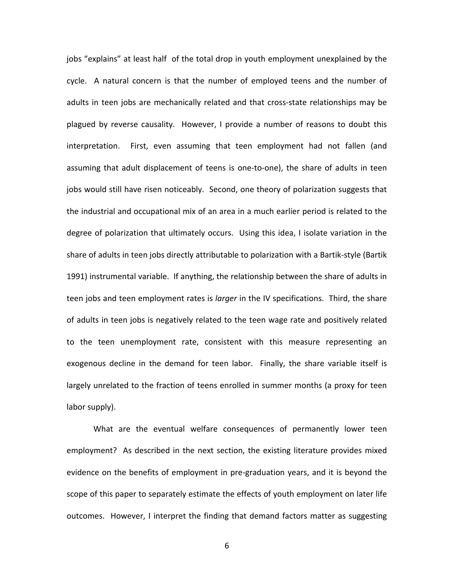jobs "explains" at least half of the total drop in youth employment unexplained by the cycle. A natural concern is that the number of employed teens and the number of adults in teen jobs are mechanically related and that cross‐state relationships may be plagued by reverse causality. However, I provide a number of reasons to doubt this interpretation. First, even assuming that teen employment had not fallen (and assuming that adult displacement of teens is one‐to‐one), the share of adults in teen jobs would still have risen noticeably. Second, one theory of polarization suggests that the industrial and occupational mix of an area in a much earlier period is related to the degree of polarization that ultimately occurs. Using this idea, I isolate variation in the share of adults in teen jobs directly attributable to polarization with a Bartik‐style (Bartik 1991) instrumental variable. If anything, the relationship between the share of adults in teen jobs and teen employment rates is *larger* in the IV specifications. Third, the share of adults in teen jobs is negatively related to the teen wage rate and positively related to the teen unemployment rate, consistent with this measure representing an exogenous decline in the demand for teen labor. Finally, the share variable itself is largely unrelated to the fraction of teens enrolled in summer months (a proxy for teen labor supply).

What are the eventual welfare consequences of permanently lower teen employment? As described in the next section, the existing literature provides mixed evidence on the benefits of employment in pre‐graduation years, and it is beyond the scope of this paper to separately estimate the effects of youth employment on later life outcomes. However, I interpret the finding that demand factors matter as suggesting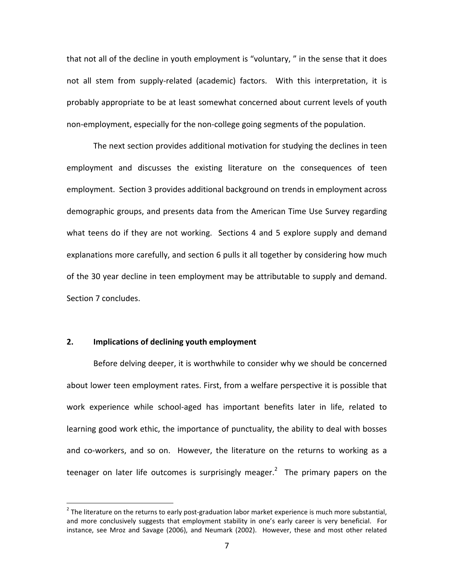that not all of the decline in youth employment is "voluntary, " in the sense that it does not all stem from supply-related (academic) factors. With this interpretation, it is probably appropriate to be at least somewhat concerned about current levels of youth non-employment, especially for the non-college going segments of the population.

The next section provides additional motivation for studying the declines in teen employment and discusses the existing literature on the consequences of teen employment. Section 3 provides additional background on trends in employment across demographic groups, and presents data from the American Time Use Survey regarding what teens do if they are not working. Sections 4 and 5 explore supply and demand explanations more carefully, and section 6 pulls it all together by considering how much of the 30 year decline in teen employment may be attributable to supply and demand. Section 7 concludes.

### **2. Implications of declining youth employment**

 $\overline{a}$ 

Before delving deeper, it is worthwhile to consider why we should be concerned about lower teen employment rates. First, from a welfare perspective it is possible that work experience while school-aged has important benefits later in life, related to learning good work ethic, the importance of punctuality, the ability to deal with bosses and co-workers, and so on. However, the literature on the returns to working as a teenager on later life outcomes is surprisingly meager.<sup>2</sup> The primary papers on the

 $2$  The literature on the returns to early post-graduation labor market experience is much more substantial, and more conclusively suggests that employment stability in one's early career is very beneficial. For instance, see Mroz and Savage (2006), and Neumark (2002). However, these and most other related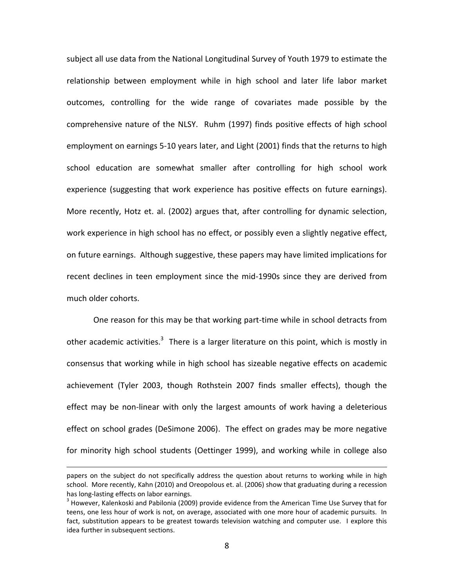subject all use data from the National Longitudinal Survey of Youth 1979 to estimate the relationship between employment while in high school and later life labor market outcomes, controlling for the wide range of covariates made possible by the comprehensive nature of the NLSY. Ruhm (1997) finds positive effects of high school employment on earnings 5-10 years later, and Light (2001) finds that the returns to high school education are somewhat smaller after controlling for high school work experience (suggesting that work experience has positive effects on future earnings). More recently, Hotz et. al. (2002) argues that, after controlling for dynamic selection, work experience in high school has no effect, or possibly even a slightly negative effect, on future earnings. Although suggestive, these papers may have limited implications for recent declines in teen employment since the mid‐1990s since they are derived from much older cohorts.

One reason for this may be that working part‐time while in school detracts from other academic activities.<sup>3</sup> There is a larger literature on this point, which is mostly in consensus that working while in high school has sizeable negative effects on academic achievement (Tyler 2003, though Rothstein 2007 finds smaller effects), though the effect may be non-linear with only the largest amounts of work having a deleterious effect on school grades (DeSimone 2006). The effect on grades may be more negative for minority high school students (Oettinger 1999), and working while in college also

papers on the subject do not specifically address the question about returns to working while in high school. More recently, Kahn (2010) and Oreopolous et. al. (2006) show that graduating during a recession has long-lasting effects on labor earnings.<br><sup>3</sup> However, Kalenkoski and Pabilonia (2009) provide evidence from the American Time Use Survey that for

teens, one less hour of work is not, on average, associated with one more hour of academic pursuits. In fact, substitution appears to be greatest towards television watching and computer use. I explore this idea further in subsequent sections.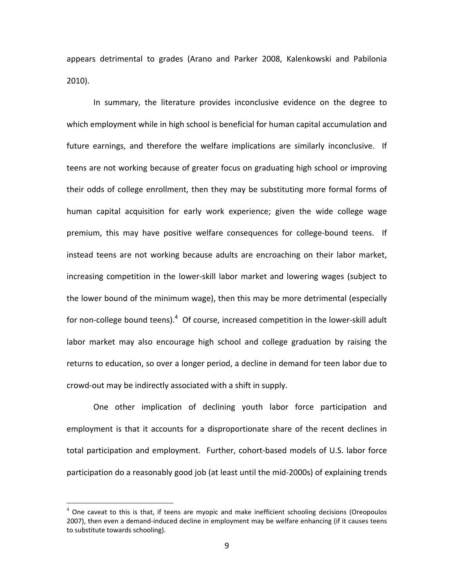appears detrimental to grades (Arano and Parker 2008, Kalenkowski and Pabilonia 2010).

In summary, the literature provides inconclusive evidence on the degree to which employment while in high school is beneficial for human capital accumulation and future earnings, and therefore the welfare implications are similarly inconclusive. If teens are not working because of greater focus on graduating high school or improving their odds of college enrollment, then they may be substituting more formal forms of human capital acquisition for early work experience; given the wide college wage premium, this may have positive welfare consequences for college-bound teens. If instead teens are not working because adults are encroaching on their labor market, increasing competition in the lower‐skill labor market and lowering wages (subject to the lower bound of the minimum wage), then this may be more detrimental (especially for non-college bound teens).<sup>4</sup> Of course, increased competition in the lower-skill adult labor market may also encourage high school and college graduation by raising the returns to education, so over a longer period, a decline in demand for teen labor due to crowd‐out may be indirectly associated with a shift in supply.

One other implication of declining youth labor force participation and employment is that it accounts for a disproportionate share of the recent declines in total participation and employment. Further, cohort‐based models of U.S. labor force participation do a reasonably good job (at least until the mid‐2000s) of explaining trends

 $4$  One caveat to this is that, if teens are myopic and make inefficient schooling decisions (Oreopoulos 2007), then even a demand-induced decline in employment may be welfare enhancing (if it causes teens to substitute towards schooling).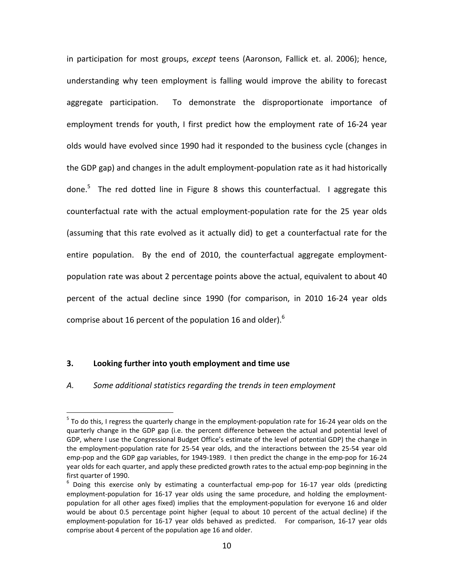in participation for most groups, *except* teens (Aaronson, Fallick et. al. 2006); hence, understanding why teen employment is falling would improve the ability to forecast aggregate participation. To demonstrate the disproportionate importance of employment trends for youth, I first predict how the employment rate of 16‐24 year olds would have evolved since 1990 had it responded to the business cycle (changes in the GDP gap) and changes in the adult employment‐population rate as it had historically done.<sup>5</sup> The red dotted line in Figure 8 shows this counterfactual. I aggregate this counterfactual rate with the actual employment‐population rate for the 25 year olds (assuming that this rate evolved as it actually did) to get a counterfactual rate for the entire population. By the end of 2010, the counterfactual aggregate employmentpopulation rate was about 2 percentage points above the actual, equivalent to about 40 percent of the actual decline since 1990 (for comparison, in 2010 16‐24 year olds comprise about 16 percent of the population 16 and older).<sup>6</sup>

# **3. Looking further into youth employment and time use**

 $\overline{a}$ 

### *A. Some additional statistics regarding the trends in teen employment*

<sup>5</sup> To do this, I regress the quarterly change in the employment‐population rate for 16‐24 year olds on the quarterly change in the GDP gap (i.e. the percent difference between the actual and potential level of GDP, where I use the Congressional Budget Office's estimate of the level of potential GDP) the change in the employment‐population rate for 25‐54 year olds, and the interactions between the 25‐54 year old emp-pop and the GDP gap variables, for 1949-1989. I then predict the change in the emp-pop for 16-24 year olds for each quarter, and apply these predicted growth rates to the actual emp‐pop beginning in the first quarter of 1990.<br>
<sup>6</sup> Doing this exercise only by estimating a counterfactual emp-pop for 16-17 year olds (predicting

employment-population for 16-17 year olds using the same procedure, and holding the employmentpopulation for all other ages fixed) implies that the employment-population for everyone 16 and older would be about 0.5 percentage point higher (equal to about 10 percent of the actual decline) if the employment-population for 16-17 year olds behaved as predicted. For comparison, 16-17 year olds comprise about 4 percent of the population age 16 and older.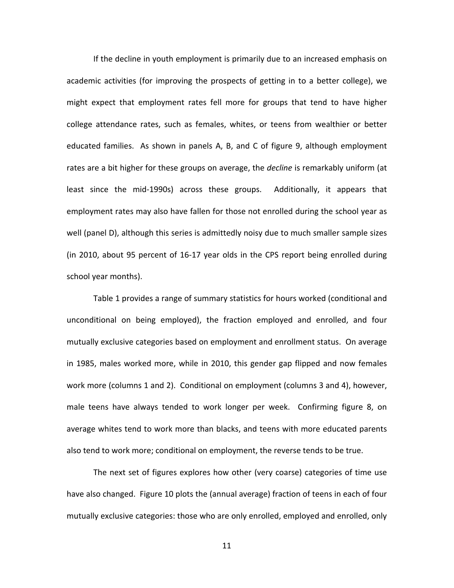If the decline in youth employment is primarily due to an increased emphasis on academic activities (for improving the prospects of getting in to a better college), we might expect that employment rates fell more for groups that tend to have higher college attendance rates, such as females, whites, or teens from wealthier or better educated families. As shown in panels A, B, and C of figure 9, although employment rates are a bit higher for these groups on average, the *decline* is remarkably uniform (at least since the mid‐1990s) across these groups. Additionally, it appears that employment rates may also have fallen for those not enrolled during the school year as well (panel D), although this series is admittedly noisy due to much smaller sample sizes (in 2010, about 95 percent of 16‐17 year olds in the CPS report being enrolled during school year months).

Table 1 provides a range of summary statistics for hours worked (conditional and unconditional on being employed), the fraction employed and enrolled, and four mutually exclusive categories based on employment and enrollment status. On average in 1985, males worked more, while in 2010, this gender gap flipped and now females work more (columns 1 and 2). Conditional on employment (columns 3 and 4), however, male teens have always tended to work longer per week. Confirming figure 8, on average whites tend to work more than blacks, and teens with more educated parents also tend to work more; conditional on employment, the reverse tends to be true.

The next set of figures explores how other (very coarse) categories of time use have also changed. Figure 10 plots the (annual average) fraction of teens in each of four mutually exclusive categories: those who are only enrolled, employed and enrolled, only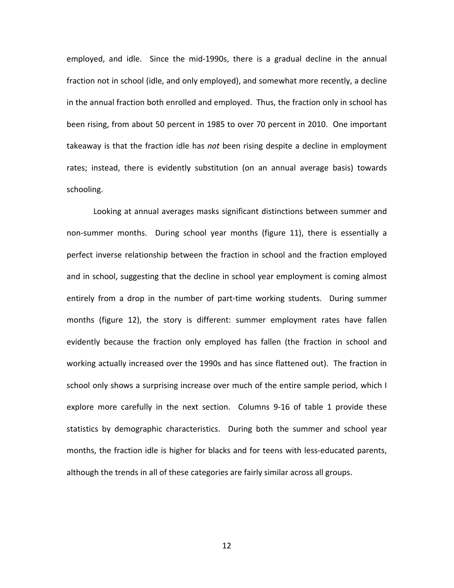employed, and idle. Since the mid-1990s, there is a gradual decline in the annual fraction not in school (idle, and only employed), and somewhat more recently, a decline in the annual fraction both enrolled and employed. Thus, the fraction only in school has been rising, from about 50 percent in 1985 to over 70 percent in 2010. One important takeaway is that the fraction idle has *not* been rising despite a decline in employment rates; instead, there is evidently substitution (on an annual average basis) towards schooling.

Looking at annual averages masks significant distinctions between summer and non-summer months. During school year months (figure 11), there is essentially a perfect inverse relationship between the fraction in school and the fraction employed and in school, suggesting that the decline in school year employment is coming almost entirely from a drop in the number of part-time working students. During summer months (figure 12), the story is different: summer employment rates have fallen evidently because the fraction only employed has fallen (the fraction in school and working actually increased over the 1990s and has since flattened out). The fraction in school only shows a surprising increase over much of the entire sample period, which I explore more carefully in the next section. Columns 9-16 of table 1 provide these statistics by demographic characteristics. During both the summer and school year months, the fraction idle is higher for blacks and for teens with less‐educated parents, although the trends in all of these categories are fairly similar across all groups.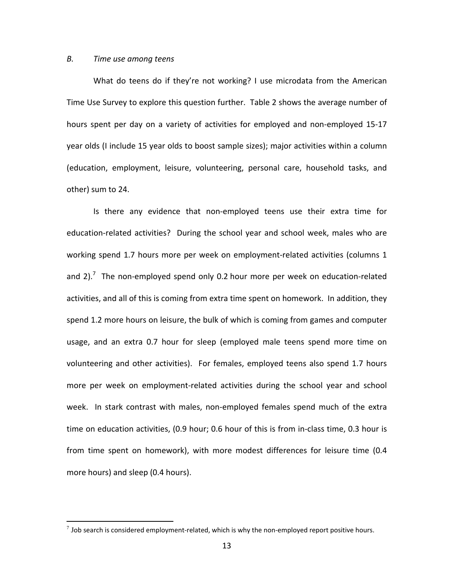#### *B. Time use among teens*

 $\overline{a}$ 

What do teens do if they're not working? I use microdata from the American Time Use Survey to explore this question further. Table 2 shows the average number of hours spent per day on a variety of activities for employed and non-employed 15-17 year olds (I include 15 year olds to boost sample sizes); major activities within a column (education, employment, leisure, volunteering, personal care, household tasks, and other) sum to 24.

Is there any evidence that non‐employed teens use their extra time for education‐related activities? During the school year and school week, males who are working spend 1.7 hours more per week on employment‐related activities (columns 1 and 2).<sup>7</sup> The non-employed spend only 0.2 hour more per week on education-related activities, and all of this is coming from extra time spent on homework. In addition, they spend 1.2 more hours on leisure, the bulk of which is coming from games and computer usage, and an extra 0.7 hour for sleep (employed male teens spend more time on volunteering and other activities). For females, employed teens also spend 1.7 hours more per week on employment‐related activities during the school year and school week. In stark contrast with males, non-employed females spend much of the extra time on education activities, (0.9 hour; 0.6 hour of this is from in-class time, 0.3 hour is from time spent on homework), with more modest differences for leisure time (0.4 more hours) and sleep (0.4 hours).

 $^7$  Job search is considered employment-related, which is why the non-employed report positive hours.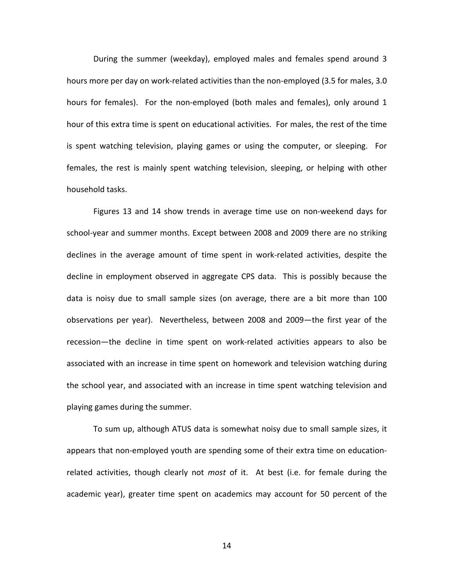During the summer (weekday), employed males and females spend around 3 hours more per day on work-related activities than the non-employed (3.5 for males, 3.0 hours for females). For the non-employed (both males and females), only around 1 hour of this extra time is spent on educational activities. For males, the rest of the time is spent watching television, playing games or using the computer, or sleeping. For females, the rest is mainly spent watching television, sleeping, or helping with other household tasks.

Figures 13 and 14 show trends in average time use on non‐weekend days for school‐year and summer months. Except between 2008 and 2009 there are no striking declines in the average amount of time spent in work‐related activities, despite the decline in employment observed in aggregate CPS data. This is possibly because the data is noisy due to small sample sizes (on average, there are a bit more than 100 observations per year). Nevertheless, between 2008 and 2009—the first year of the recession—the decline in time spent on work‐related activities appears to also be associated with an increase in time spent on homework and television watching during the school year, and associated with an increase in time spent watching television and playing games during the summer.

To sum up, although ATUS data is somewhat noisy due to small sample sizes, it appears that non‐employed youth are spending some of their extra time on education‐ related activities, though clearly not *most* of it. At best (i.e. for female during the academic year), greater time spent on academics may account for 50 percent of the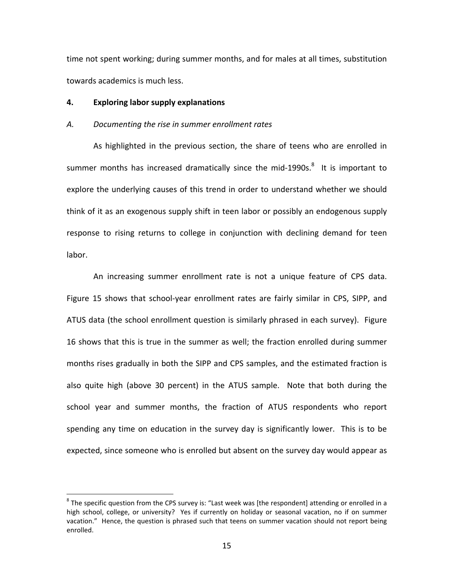time not spent working; during summer months, and for males at all times, substitution towards academics is much less.

## **4. Exploring labor supply explanations**

 $\overline{a}$ 

### *A. Documenting the rise in summer enrollment rates*

As highlighted in the previous section, the share of teens who are enrolled in summer months has increased dramatically since the mid-1990s.<sup>8</sup> It is important to explore the underlying causes of this trend in order to understand whether we should think of it as an exogenous supply shift in teen labor or possibly an endogenous supply response to rising returns to college in conjunction with declining demand for teen labor.

An increasing summer enrollment rate is not a unique feature of CPS data. Figure 15 shows that school‐year enrollment rates are fairly similar in CPS, SIPP, and ATUS data (the school enrollment question is similarly phrased in each survey). Figure 16 shows that this is true in the summer as well; the fraction enrolled during summer months rises gradually in both the SIPP and CPS samples, and the estimated fraction is also quite high (above 30 percent) in the ATUS sample. Note that both during the school year and summer months, the fraction of ATUS respondents who report spending any time on education in the survey day is significantly lower. This is to be expected, since someone who is enrolled but absent on the survey day would appear as

<sup>&</sup>lt;sup>8</sup> The specific question from the CPS survey is: "Last week was [the respondent] attending or enrolled in a high school, college, or university? Yes if currently on holiday or seasonal vacation, no if on summer vacation." Hence, the question is phrased such that teens on summer vacation should not report being enrolled.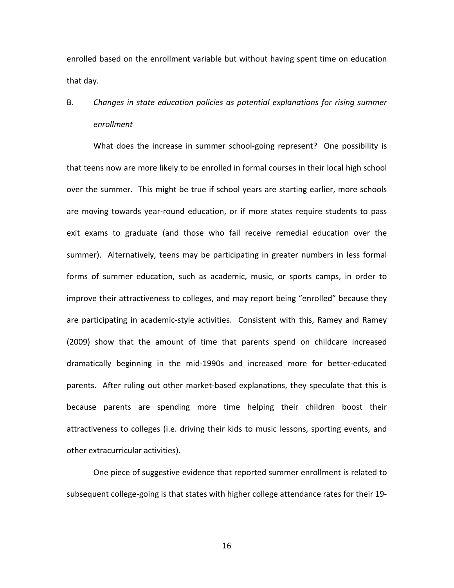enrolled based on the enrollment variable but without having spent time on education that day.

# B. *Changes in state education policies as potential explanations for rising summer enrollment*

What does the increase in summer school-going represent? One possibility is that teens now are more likely to be enrolled in formal courses in their local high school over the summer. This might be true if school years are starting earlier, more schools are moving towards year‐round education, or if more states require students to pass exit exams to graduate (and those who fail receive remedial education over the summer). Alternatively, teens may be participating in greater numbers in less formal forms of summer education, such as academic, music, or sports camps, in order to improve their attractiveness to colleges, and may report being "enrolled" because they are participating in academic-style activities. Consistent with this, Ramey and Ramey (2009) show that the amount of time that parents spend on childcare increased dramatically beginning in the mid‐1990s and increased more for better‐educated parents. After ruling out other market-based explanations, they speculate that this is because parents are spending more time helping their children boost their attractiveness to colleges (i.e. driving their kids to music lessons, sporting events, and other extracurricular activities).

One piece of suggestive evidence that reported summer enrollment is related to subsequent college-going is that states with higher college attendance rates for their 19-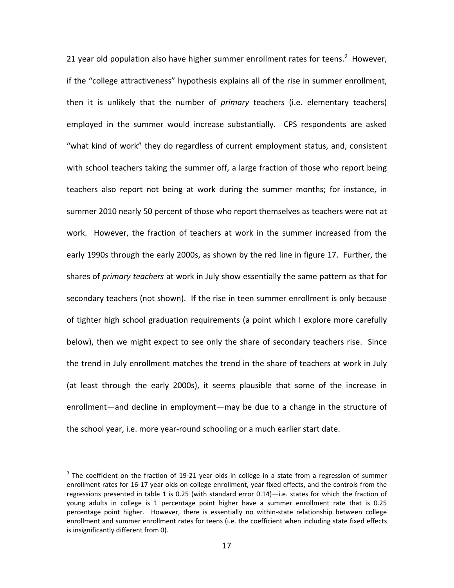21 year old population also have higher summer enrollment rates for teens. $9$  However, if the "college attractiveness" hypothesis explains all of the rise in summer enrollment, then it is unlikely that the number of *primary* teachers (i.e. elementary teachers) employed in the summer would increase substantially. CPS respondents are asked "what kind of work" they do regardless of current employment status, and, consistent with school teachers taking the summer off, a large fraction of those who report being teachers also report not being at work during the summer months; for instance, in summer 2010 nearly 50 percent of those who report themselves as teachers were not at work. However, the fraction of teachers at work in the summer increased from the early 1990s through the early 2000s, as shown by the red line in figure 17. Further, the shares of *primary teachers* at work in July show essentially the same pattern as that for secondary teachers (not shown). If the rise in teen summer enrollment is only because of tighter high school graduation requirements (a point which I explore more carefully below), then we might expect to see only the share of secondary teachers rise. Since the trend in July enrollment matches the trend in the share of teachers at work in July (at least through the early 2000s), it seems plausible that some of the increase in enrollment—and decline in employment—may be due to a change in the structure of the school year, i.e. more year‐round schooling or a much earlier start date.

<u>.</u>

<sup>&</sup>lt;sup>9</sup> The coefficient on the fraction of 19-21 year olds in college in a state from a regression of summer enrollment rates for 16‐17 year olds on college enrollment, year fixed effects, and the controls from the regressions presented in table 1 is 0.25 (with standard error 0.14)—i.e. states for which the fraction of young adults in college is 1 percentage point higher have a summer enrollment rate that is 0.25 percentage point higher. However, there is essentially no within-state relationship between college enrollment and summer enrollment rates for teens (i.e. the coefficient when including state fixed effects is insignificantly different from 0).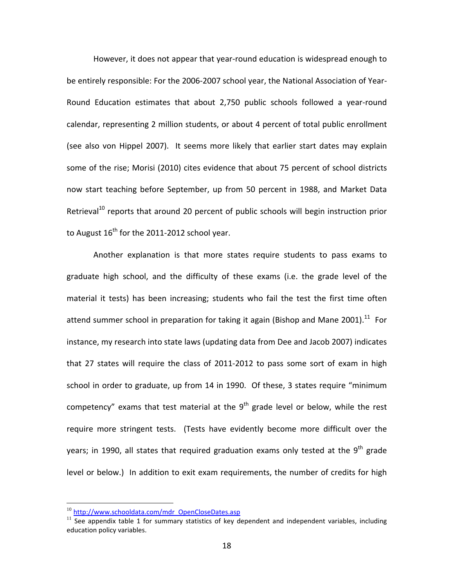However, it does not appear that year-round education is widespread enough to be entirely responsible: For the 2006‐2007 school year, the National Association of Year‐ Round Education estimates that about 2,750 public schools followed a year‐round calendar, representing 2 million students, or about 4 percent of total public enrollment (see also von Hippel 2007). It seems more likely that earlier start dates may explain some of the rise; Morisi (2010) cites evidence that about 75 percent of school districts now start teaching before September, up from 50 percent in 1988, and Market Data Retrieval<sup>10</sup> reports that around 20 percent of public schools will begin instruction prior to August  $16^{th}$  for the 2011-2012 school year.

Another explanation is that more states require students to pass exams to graduate high school, and the difficulty of these exams (i.e. the grade level of the material it tests) has been increasing; students who fail the test the first time often attend summer school in preparation for taking it again (Bishop and Mane 2001).<sup>11</sup> For instance, my research into state laws (updating data from Dee and Jacob 2007) indicates that 27 states will require the class of 2011‐2012 to pass some sort of exam in high school in order to graduate, up from 14 in 1990. Of these, 3 states require "minimum competency" exams that test material at the  $9<sup>th</sup>$  grade level or below, while the rest require more stringent tests. (Tests have evidently become more difficult over the years; in 1990, all states that required graduation exams only tested at the 9<sup>th</sup> grade level or below.) In addition to exit exam requirements, the number of credits for high

<sup>&</sup>lt;sup>10</sup> http://www.schooldata.com/mdr\_OpenCloseDates.asp

 $11$  See appendix table 1 for summary statistics of key dependent and independent variables, including education policy variables.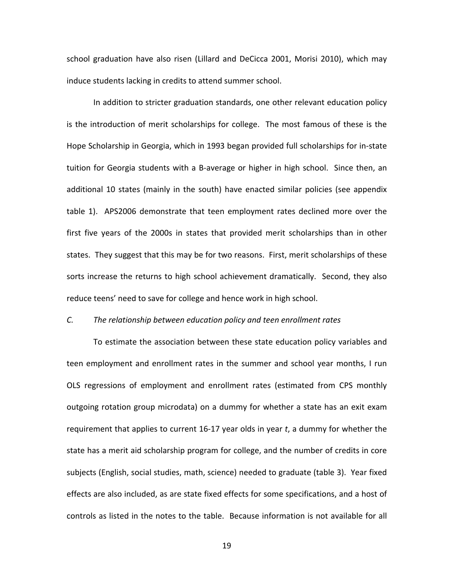school graduation have also risen (Lillard and DeCicca 2001, Morisi 2010), which may induce students lacking in credits to attend summer school.

In addition to stricter graduation standards, one other relevant education policy is the introduction of merit scholarships for college. The most famous of these is the Hope Scholarship in Georgia, which in 1993 began provided full scholarships for in‐state tuition for Georgia students with a B‐average or higher in high school. Since then, an additional 10 states (mainly in the south) have enacted similar policies (see appendix table 1). APS2006 demonstrate that teen employment rates declined more over the first five years of the 2000s in states that provided merit scholarships than in other states. They suggest that this may be for two reasons. First, merit scholarships of these sorts increase the returns to high school achievement dramatically. Second, they also reduce teens' need to save for college and hence work in high school.

# *C. The relationship between education policy and teen enrollment rates*

To estimate the association between these state education policy variables and teen employment and enrollment rates in the summer and school year months, I run OLS regressions of employment and enrollment rates (estimated from CPS monthly outgoing rotation group microdata) on a dummy for whether a state has an exit exam requirement that applies to current 16‐17 year olds in year *t*, a dummy for whether the state has a merit aid scholarship program for college, and the number of credits in core subjects (English, social studies, math, science) needed to graduate (table 3). Year fixed effects are also included, as are state fixed effects for some specifications, and a host of controls as listed in the notes to the table. Because information is not available for all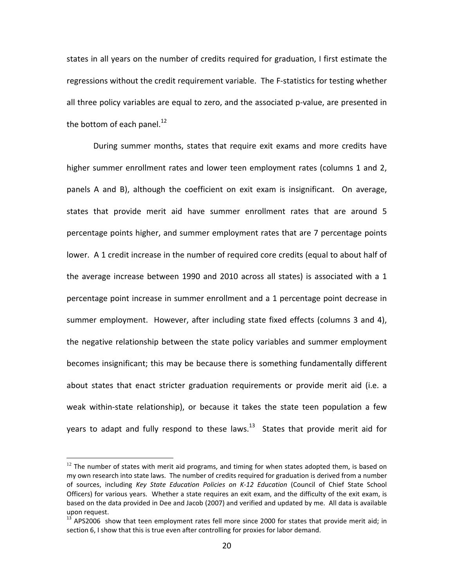states in all years on the number of credits required for graduation, I first estimate the regressions without the credit requirement variable. The F‐statistics for testing whether all three policy variables are equal to zero, and the associated p‐value, are presented in the bottom of each panel.<sup>12</sup>

During summer months, states that require exit exams and more credits have higher summer enrollment rates and lower teen employment rates (columns 1 and 2, panels A and B), although the coefficient on exit exam is insignificant. On average, states that provide merit aid have summer enrollment rates that are around 5 percentage points higher, and summer employment rates that are 7 percentage points lower. A 1 credit increase in the number of required core credits (equal to about half of the average increase between 1990 and 2010 across all states) is associated with a 1 percentage point increase in summer enrollment and a 1 percentage point decrease in summer employment. However, after including state fixed effects (columns 3 and 4), the negative relationship between the state policy variables and summer employment becomes insignificant; this may be because there is something fundamentally different about states that enact stricter graduation requirements or provide merit aid (i.e. a weak within-state relationship), or because it takes the state teen population a few years to adapt and fully respond to these laws. $^{13}$  States that provide merit aid for

 $12$  The number of states with merit aid programs, and timing for when states adopted them, is based on my own research into state laws. The number of credits required for graduation is derived from a number of sources, including *Key State Education Policies on K‐12 Education* (Council of Chief State School Officers) for various years. Whether a state requires an exit exam, and the difficulty of the exit exam, is based on the data provided in Dee and Jacob (2007) and verified and updated by me. All data is available

upon request.<br><sup>13</sup> APS2006 show that teen employment rates fell more since 2000 for states that provide merit aid; in section 6, I show that this is true even after controlling for proxies for labor demand.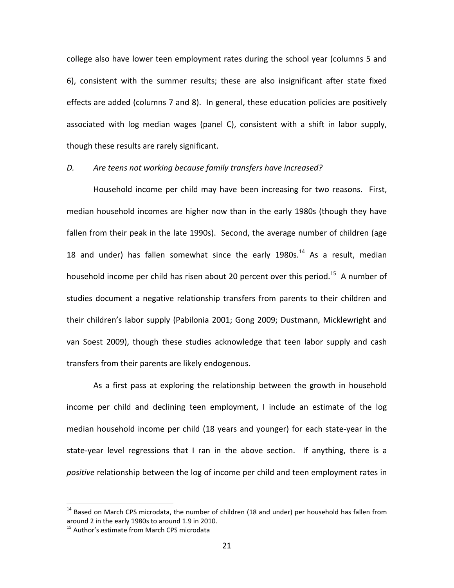college also have lower teen employment rates during the school year (columns 5 and 6), consistent with the summer results; these are also insignificant after state fixed effects are added (columns 7 and 8). In general, these education policies are positively associated with log median wages (panel C), consistent with a shift in labor supply, though these results are rarely significant.

## *D. Are teens not working because family transfers have increased?*

Household income per child may have been increasing for two reasons. First, median household incomes are higher now than in the early 1980s (though they have fallen from their peak in the late 1990s). Second, the average number of children (age 18 and under) has fallen somewhat since the early 1980s.<sup>14</sup> As a result, median household income per child has risen about 20 percent over this period.<sup>15</sup> A number of studies document a negative relationship transfers from parents to their children and their children's labor supply (Pabilonia 2001; Gong 2009; Dustmann, Micklewright and van Soest 2009), though these studies acknowledge that teen labor supply and cash transfers from their parents are likely endogenous.

As a first pass at exploring the relationship between the growth in household income per child and declining teen employment, I include an estimate of the log median household income per child (18 years and younger) for each state‐year in the state-year level regressions that I ran in the above section. If anything, there is a *positive* relationship between the log of income per child and teen employment rates in

 $14$  Based on March CPS microdata, the number of children (18 and under) per household has fallen from around 2 in the early 1980s to around 1.9 in 2010.<br><sup>15</sup> Author's estimate from March CPS microdata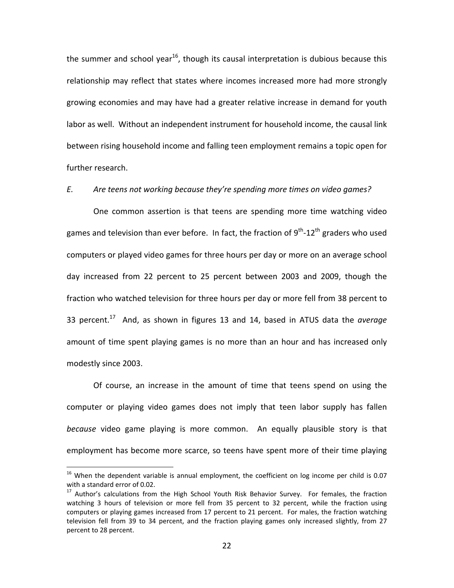the summer and school year<sup>16</sup>, though its causal interpretation is dubious because this relationship may reflect that states where incomes increased more had more strongly growing economies and may have had a greater relative increase in demand for youth labor as well. Without an independent instrument for household income, the causal link between rising household income and falling teen employment remains a topic open for further research.

### *E. Are teens not working because they're spending more times on video games?*

One common assertion is that teens are spending more time watching video games and television than ever before. In fact, the fraction of  $9^{th}$ -12<sup>th</sup> graders who used computers or played video games for three hours per day or more on an average school day increased from 22 percent to 25 percent between 2003 and 2009, though the fraction who watched television for three hours per day or more fell from 38 percent to 33 percent.17 And, as shown in figures 13 and 14, based in ATUS data the *average* amount of time spent playing games is no more than an hour and has increased only modestly since 2003.

Of course, an increase in the amount of time that teens spend on using the computer or playing video games does not imply that teen labor supply has fallen *because* video game playing is more common. An equally plausible story is that employment has become more scarce, so teens have spent more of their time playing

 $16$  When the dependent variable is annual employment, the coefficient on log income per child is 0.07 with a standard error of 0.02.<br><sup>17</sup> Author's calculations from the High School Youth Risk Behavior Survey. For females, the fraction

watching 3 hours of television or more fell from 35 percent to 32 percent, while the fraction using computers or playing games increased from 17 percent to 21 percent. For males, the fraction watching television fell from 39 to 34 percent, and the fraction playing games only increased slightly, from 27 percent to 28 percent.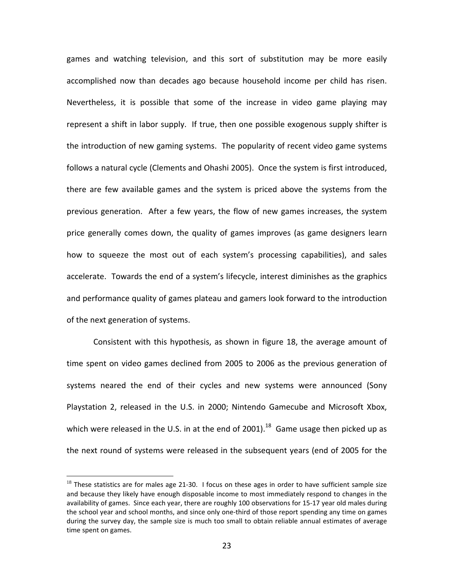games and watching television, and this sort of substitution may be more easily accomplished now than decades ago because household income per child has risen. Nevertheless, it is possible that some of the increase in video game playing may represent a shift in labor supply. If true, then one possible exogenous supply shifter is the introduction of new gaming systems. The popularity of recent video game systems follows a natural cycle (Clements and Ohashi 2005). Once the system is first introduced, there are few available games and the system is priced above the systems from the previous generation. After a few years, the flow of new games increases, the system price generally comes down, the quality of games improves (as game designers learn how to squeeze the most out of each system's processing capabilities), and sales accelerate. Towards the end of a system's lifecycle, interest diminishes as the graphics and performance quality of games plateau and gamers look forward to the introduction of the next generation of systems.

Consistent with this hypothesis, as shown in figure 18, the average amount of time spent on video games declined from 2005 to 2006 as the previous generation of systems neared the end of their cycles and new systems were announced (Sony Playstation 2, released in the U.S. in 2000; Nintendo Gamecube and Microsoft Xbox, which were released in the U.S. in at the end of 2001).<sup>18</sup> Game usage then picked up as the next round of systems were released in the subsequent years (end of 2005 for the

 $18$  These statistics are for males age 21-30. I focus on these ages in order to have sufficient sample size and because they likely have enough disposable income to most immediately respond to changes in the availability of games. Since each year, there are roughly 100 observations for 15‐17 year old males during the school year and school months, and since only one‐third of those report spending any time on games during the survey day, the sample size is much too small to obtain reliable annual estimates of average time spent on games.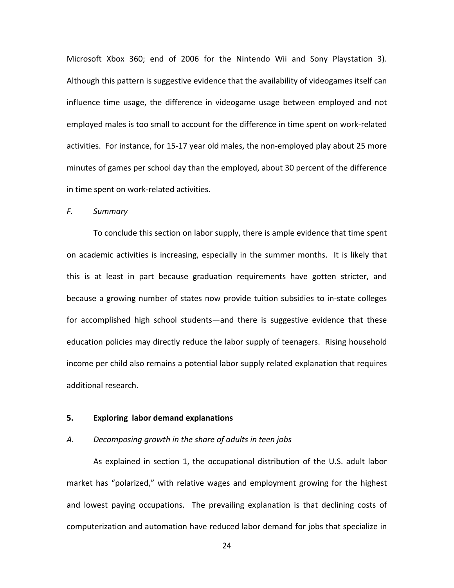Microsoft Xbox 360; end of 2006 for the Nintendo Wii and Sony Playstation 3). Although this pattern is suggestive evidence that the availability of videogames itself can influence time usage, the difference in videogame usage between employed and not employed males is too small to account for the difference in time spent on work‐related activities. For instance, for 15-17 year old males, the non-employed play about 25 more minutes of games per school day than the employed, about 30 percent of the difference in time spent on work‐related activities.

#### *F. Summary*

To conclude this section on labor supply, there is ample evidence that time spent on academic activities is increasing, especially in the summer months. It is likely that this is at least in part because graduation requirements have gotten stricter, and because a growing number of states now provide tuition subsidies to in‐state colleges for accomplished high school students—and there is suggestive evidence that these education policies may directly reduce the labor supply of teenagers. Rising household income per child also remains a potential labor supply related explanation that requires additional research.

## **5. Exploring labor demand explanations**

### *A. Decomposing growth in the share of adults in teen jobs*

As explained in section 1, the occupational distribution of the U.S. adult labor market has "polarized," with relative wages and employment growing for the highest and lowest paying occupations. The prevailing explanation is that declining costs of computerization and automation have reduced labor demand for jobs that specialize in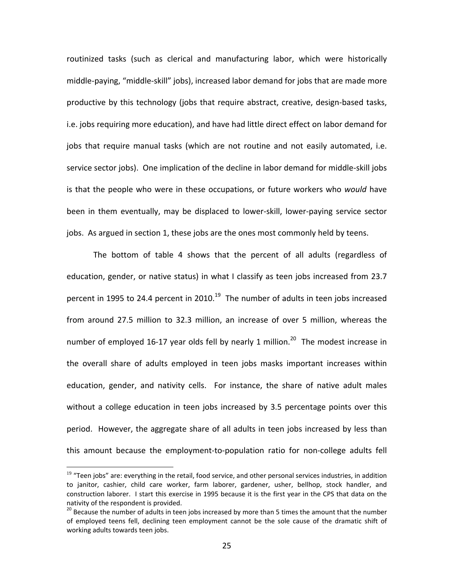routinized tasks (such as clerical and manufacturing labor, which were historically middle‐paying, "middle‐skill" jobs), increased labor demand for jobs that are made more productive by this technology (jobs that require abstract, creative, design‐based tasks, i.e. jobs requiring more education), and have had little direct effect on labor demand for jobs that require manual tasks (which are not routine and not easily automated, i.e. service sector jobs). One implication of the decline in labor demand for middle-skill jobs is that the people who were in these occupations, or future workers who *would* have been in them eventually, may be displaced to lower‐skill, lower‐paying service sector jobs. As argued in section 1, these jobs are the ones most commonly held by teens.

The bottom of table 4 shows that the percent of all adults (regardless of education, gender, or native status) in what I classify as teen jobs increased from 23.7 percent in 1995 to 24.4 percent in 2010.<sup>19</sup> The number of adults in teen jobs increased from around 27.5 million to 32.3 million, an increase of over 5 million, whereas the number of employed 16-17 year olds fell by nearly 1 million. $^{20}$  The modest increase in the overall share of adults employed in teen jobs masks important increases within education, gender, and nativity cells. For instance, the share of native adult males without a college education in teen jobs increased by 3.5 percentage points over this period. However, the aggregate share of all adults in teen jobs increased by less than this amount because the employment‐to‐population ratio for non‐college adults fell

 $19$  "Teen jobs" are: everything in the retail, food service, and other personal services industries, in addition to janitor, cashier, child care worker, farm laborer, gardener, usher, bellhop, stock handler, and construction laborer. I start this exercise in 1995 because it is the first year in the CPS that data on the nativity of the respondent is provided.<br><sup>20</sup> Because the number of adults in teen jobs increased by more than 5 times the amount that the number

of employed teens fell, declining teen employment cannot be the sole cause of the dramatic shift of working adults towards teen jobs.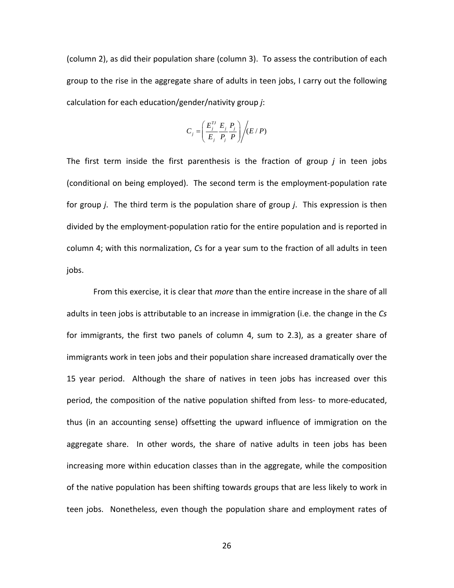(column 2), as did their population share (column 3). To assess the contribution of each group to the rise in the aggregate share of adults in teen jobs, I carry out the following calculation for each education/gender/nativity group *j*:

$$
C_j = \left(\frac{E_j^{TJ}}{E_j} \frac{E_j}{P_j} \frac{P_j}{P}\right) / (E/P)
$$

The first term inside the first parenthesis is the fraction of group *j* in teen jobs (conditional on being employed). The second term is the employment‐population rate for group *j*. The third term is the population share of group *j*. This expression is then divided by the employment‐population ratio for the entire population and is reported in column 4; with this normalization, *C*s for a year sum to the fraction of all adults in teen jobs.

From this exercise, it is clear that *more* than the entire increase in the share of all adults in teen jobs is attributable to an increase in immigration (i.e. the change in the *Cs* for immigrants, the first two panels of column 4, sum to 2.3), as a greater share of immigrants work in teen jobs and their population share increased dramatically over the 15 year period. Although the share of natives in teen jobs has increased over this period, the composition of the native population shifted from less- to more-educated, thus (in an accounting sense) offsetting the upward influence of immigration on the aggregate share. In other words, the share of native adults in teen jobs has been increasing more within education classes than in the aggregate, while the composition of the native population has been shifting towards groups that are less likely to work in teen jobs. Nonetheless, even though the population share and employment rates of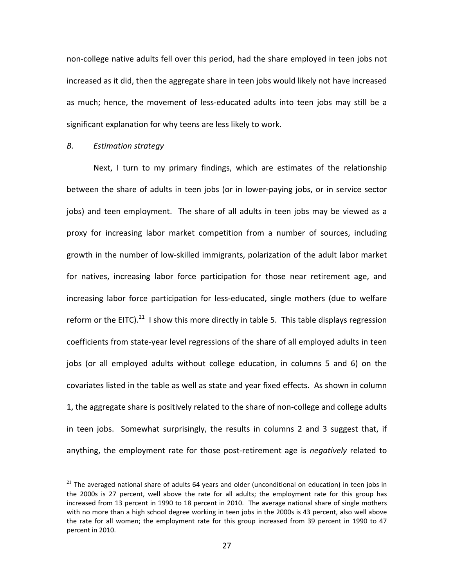non‐college native adults fell over this period, had the share employed in teen jobs not increased as it did, then the aggregate share in teen jobs would likely not have increased as much; hence, the movement of less‐educated adults into teen jobs may still be a significant explanation for why teens are less likely to work.

### *B. Estimation strategy*

 $\overline{a}$ 

Next, I turn to my primary findings, which are estimates of the relationship between the share of adults in teen jobs (or in lower-paying jobs, or in service sector jobs) and teen employment. The share of all adults in teen jobs may be viewed as a proxy for increasing labor market competition from a number of sources, including growth in the number of low‐skilled immigrants, polarization of the adult labor market for natives, increasing labor force participation for those near retirement age, and increasing labor force participation for less-educated, single mothers (due to welfare reform or the EITC).<sup>21</sup> I show this more directly in table 5. This table displays regression coefficients from state‐year level regressions of the share of all employed adults in teen jobs (or all employed adults without college education, in columns 5 and 6) on the covariates listed in the table as well as state and year fixed effects. As shown in column 1, the aggregate share is positively related to the share of non‐college and college adults in teen jobs. Somewhat surprisingly, the results in columns 2 and 3 suggest that, if anything, the employment rate for those post‐retirement age is *negatively* related to

 $21$  The averaged national share of adults 64 years and older (unconditional on education) in teen jobs in the 2000s is 27 percent, well above the rate for all adults; the employment rate for this group has increased from 13 percent in 1990 to 18 percent in 2010. The average national share of single mothers with no more than a high school degree working in teen jobs in the 2000s is 43 percent, also well above the rate for all women; the employment rate for this group increased from 39 percent in 1990 to 47 percent in 2010.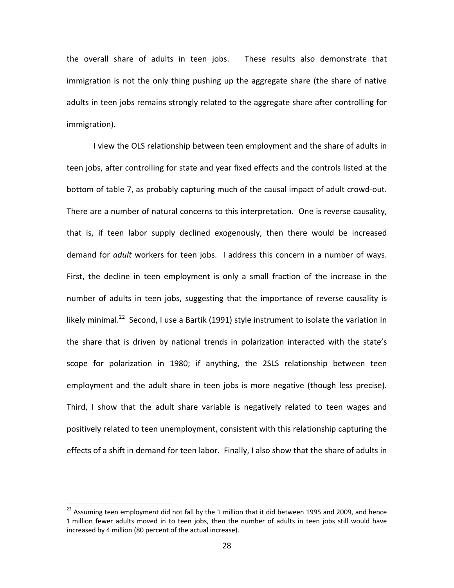the overall share of adults in teen jobs. These results also demonstrate that immigration is not the only thing pushing up the aggregate share (the share of native adults in teen jobs remains strongly related to the aggregate share after controlling for immigration).

I view the OLS relationship between teen employment and the share of adults in teen jobs, after controlling for state and year fixed effects and the controls listed at the bottom of table 7, as probably capturing much of the causal impact of adult crowd‐out. There are a number of natural concerns to this interpretation. One is reverse causality, that is, if teen labor supply declined exogenously, then there would be increased demand for *adult* workers for teen jobs. I address this concern in a number of ways. First, the decline in teen employment is only a small fraction of the increase in the number of adults in teen jobs, suggesting that the importance of reverse causality is likely minimal.<sup>22</sup> Second, I use a Bartik (1991) style instrument to isolate the variation in the share that is driven by national trends in polarization interacted with the state's scope for polarization in 1980; if anything, the 2SLS relationship between teen employment and the adult share in teen jobs is more negative (though less precise). Third, I show that the adult share variable is negatively related to teen wages and positively related to teen unemployment, consistent with this relationship capturing the effects of a shift in demand for teen labor. Finally, I also show that the share of adults in

 $^{22}$  Assuming teen employment did not fall by the 1 million that it did between 1995 and 2009, and hence 1 million fewer adults moved in to teen jobs, then the number of adults in teen jobs still would have increased by 4 million (80 percent of the actual increase).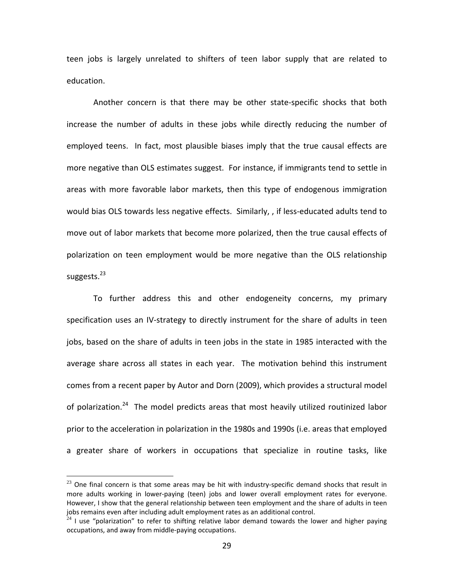teen jobs is largely unrelated to shifters of teen labor supply that are related to education.

Another concern is that there may be other state‐specific shocks that both increase the number of adults in these jobs while directly reducing the number of employed teens. In fact, most plausible biases imply that the true causal effects are more negative than OLS estimates suggest. For instance, if immigrants tend to settle in areas with more favorable labor markets, then this type of endogenous immigration would bias OLS towards less negative effects. Similarly, , if less-educated adults tend to move out of labor markets that become more polarized, then the true causal effects of polarization on teen employment would be more negative than the OLS relationship suggests.<sup>23</sup>

To further address this and other endogeneity concerns, my primary specification uses an IV-strategy to directly instrument for the share of adults in teen jobs, based on the share of adults in teen jobs in the state in 1985 interacted with the average share across all states in each year. The motivation behind this instrument comes from a recent paper by Autor and Dorn (2009), which provides a structural model of polarization.<sup>24</sup> The model predicts areas that most heavily utilized routinized labor prior to the acceleration in polarization in the 1980s and 1990s (i.e. areas that employed a greater share of workers in occupations that specialize in routine tasks, like

 $23$  One final concern is that some areas may be hit with industry-specific demand shocks that result in more adults working in lower-paying (teen) jobs and lower overall employment rates for everyone. However, I show that the general relationship between teen employment and the share of adults in teen jobs remains even after including adult employment rates as an additional control.<br><sup>24</sup> I use "polarization" to refer to shifting relative labor demand towards the lower and higher paying

occupations, and away from middle‐paying occupations.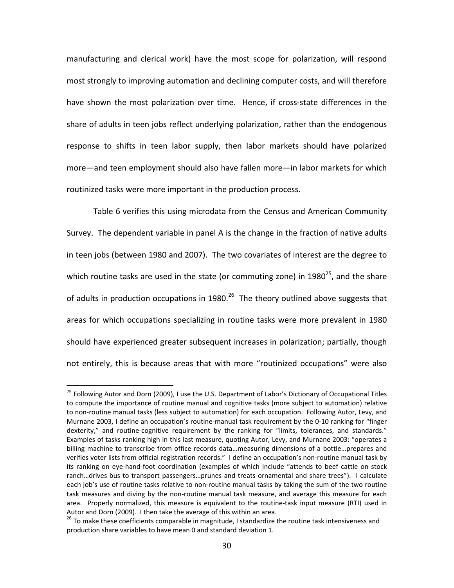manufacturing and clerical work) have the most scope for polarization, will respond most strongly to improving automation and declining computer costs, and will therefore have shown the most polarization over time. Hence, if cross-state differences in the share of adults in teen jobs reflect underlying polarization, rather than the endogenous response to shifts in teen labor supply, then labor markets should have polarized more—and teen employment should also have fallen more—in labor markets for which routinized tasks were more important in the production process.

Table 6 verifies this using microdata from the Census and American Community Survey. The dependent variable in panel A is the change in the fraction of native adults in teen jobs (between 1980 and 2007). The two covariates of interest are the degree to which routine tasks are used in the state (or commuting zone) in 1980 $^{25}$ , and the share of adults in production occupations in 1980.<sup>26</sup> The theory outlined above suggests that areas for which occupations specializing in routine tasks were more prevalent in 1980 should have experienced greater subsequent increases in polarization; partially, though not entirely, this is because areas that with more "routinized occupations" were also

<u>.</u>

 $25$  Following Autor and Dorn (2009), I use the U.S. Department of Labor's Dictionary of Occupational Titles to compute the importance of routine manual and cognitive tasks (more subject to automation) relative to non‐routine manual tasks (less subject to automation) for each occupation. Following Autor, Levy, and Murnane 2003, I define an occupation's routine-manual task requirement by the 0-10 ranking for "finger dexterity," and routine‐cognitive requirement by the ranking for "limits, tolerances, and standards." Examples of tasks ranking high in this last measure, quoting Autor, Levy, and Murnane 2003: "operates a billing machine to transcribe from office records data…measuring dimensions of a bottle…prepares and verifies voter lists from official registration records." I define an occupation's non‐routine manual task by its ranking on eye‐hand‐foot coordination (examples of which include "attends to beef cattle on stock ranch…drives bus to transport passengers…prunes and treats ornamental and share trees"). I calculate each job's use of routine tasks relative to non-routine manual tasks by taking the sum of the two routine task measures and diving by the non-routine manual task measure, and average this measure for each area. Properly normalized, this measure is equivalent to the routine-task input measure (RTI) used in

Autor and Dorn (2009). I then take the average of this within an area.<br><sup>26</sup> To make these coefficients comparable in magnitude, I standardize the routine task intensiveness and production share variables to have mean 0 and standard deviation 1.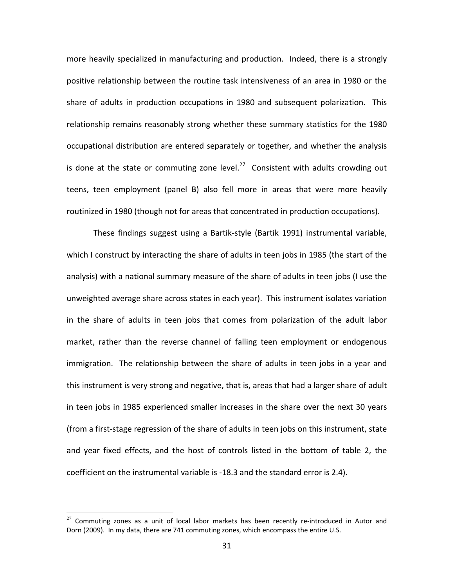more heavily specialized in manufacturing and production. Indeed, there is a strongly positive relationship between the routine task intensiveness of an area in 1980 or the share of adults in production occupations in 1980 and subsequent polarization. This relationship remains reasonably strong whether these summary statistics for the 1980 occupational distribution are entered separately or together, and whether the analysis is done at the state or commuting zone level. $^{27}$  Consistent with adults crowding out teens, teen employment (panel B) also fell more in areas that were more heavily routinized in 1980 (though not for areas that concentrated in production occupations).

These findings suggest using a Bartik‐style (Bartik 1991) instrumental variable, which I construct by interacting the share of adults in teen jobs in 1985 (the start of the analysis) with a national summary measure of the share of adults in teen jobs (I use the unweighted average share across states in each year). This instrument isolates variation in the share of adults in teen jobs that comes from polarization of the adult labor market, rather than the reverse channel of falling teen employment or endogenous immigration. The relationship between the share of adults in teen jobs in a year and this instrument is very strong and negative, that is, areas that had a larger share of adult in teen jobs in 1985 experienced smaller increases in the share over the next 30 years (from a first‐stage regression of the share of adults in teen jobs on this instrument, state and year fixed effects, and the host of controls listed in the bottom of table 2, the coefficient on the instrumental variable is ‐18.3 and the standard error is 2.4).

 $27$  Commuting zones as a unit of local labor markets has been recently re-introduced in Autor and Dorn (2009). In my data, there are 741 commuting zones, which encompass the entire U.S.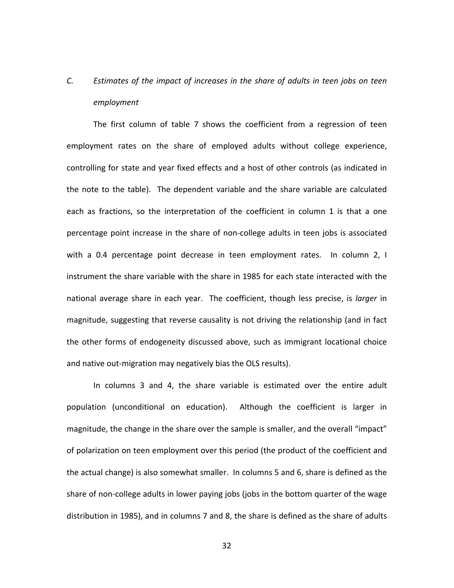# *C. Estimates of the impact of increases in the share of adults in teen jobs on teen employment*

The first column of table 7 shows the coefficient from a regression of teen employment rates on the share of employed adults without college experience, controlling for state and year fixed effects and a host of other controls (as indicated in the note to the table). The dependent variable and the share variable are calculated each as fractions, so the interpretation of the coefficient in column 1 is that a one percentage point increase in the share of non‐college adults in teen jobs is associated with a 0.4 percentage point decrease in teen employment rates. In column 2, I instrument the share variable with the share in 1985 for each state interacted with the national average share in each year. The coefficient, though less precise, is *larger* in magnitude, suggesting that reverse causality is not driving the relationship (and in fact the other forms of endogeneity discussed above, such as immigrant locational choice and native out‐migration may negatively bias the OLS results).

In columns 3 and 4, the share variable is estimated over the entire adult population (unconditional on education). Although the coefficient is larger in magnitude, the change in the share over the sample is smaller, and the overall "impact" of polarization on teen employment over this period (the product of the coefficient and the actual change) is also somewhat smaller. In columns 5 and 6, share is defined as the share of non-college adults in lower paying jobs (jobs in the bottom quarter of the wage distribution in 1985), and in columns 7 and 8, the share is defined as the share of adults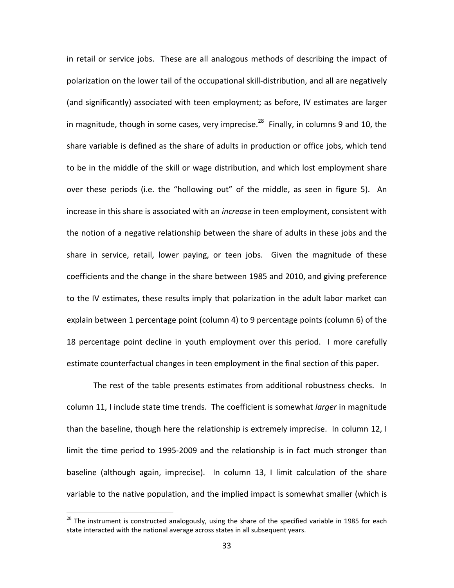in retail or service jobs. These are all analogous methods of describing the impact of polarization on the lower tail of the occupational skill‐distribution, and all are negatively (and significantly) associated with teen employment; as before, IV estimates are larger in magnitude, though in some cases, very imprecise.<sup>28</sup> Finally, in columns 9 and 10, the share variable is defined as the share of adults in production or office jobs, which tend to be in the middle of the skill or wage distribution, and which lost employment share over these periods (i.e. the "hollowing out" of the middle, as seen in figure 5). An increase in this share is associated with an *increase* in teen employment, consistent with the notion of a negative relationship between the share of adults in these jobs and the share in service, retail, lower paying, or teen jobs. Given the magnitude of these coefficients and the change in the share between 1985 and 2010, and giving preference to the IV estimates, these results imply that polarization in the adult labor market can explain between 1 percentage point (column 4) to 9 percentage points (column 6) of the 18 percentage point decline in youth employment over this period. I more carefully estimate counterfactual changes in teen employment in the final section of this paper.

The rest of the table presents estimates from additional robustness checks. In column 11, I include state time trends. The coefficient is somewhat *larger* in magnitude than the baseline, though here the relationship is extremely imprecise. In column 12, I limit the time period to 1995‐2009 and the relationship is in fact much stronger than baseline (although again, imprecise). In column 13, I limit calculation of the share variable to the native population, and the implied impact is somewhat smaller (which is

 $28$  The instrument is constructed analogously, using the share of the specified variable in 1985 for each state interacted with the national average across states in all subsequent years.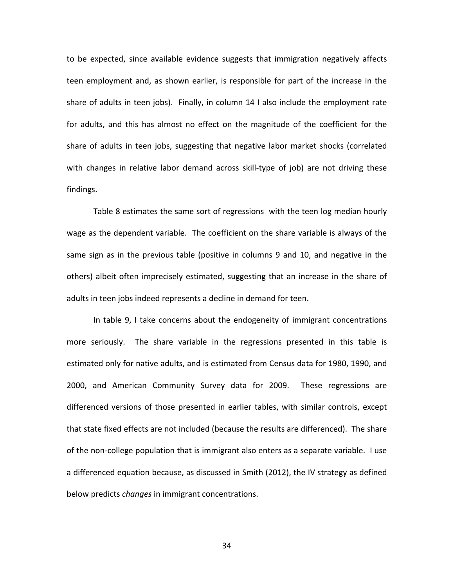to be expected, since available evidence suggests that immigration negatively affects teen employment and, as shown earlier, is responsible for part of the increase in the share of adults in teen jobs). Finally, in column 14 I also include the employment rate for adults, and this has almost no effect on the magnitude of the coefficient for the share of adults in teen jobs, suggesting that negative labor market shocks (correlated with changes in relative labor demand across skill-type of job) are not driving these findings.

Table 8 estimates the same sort of regressions with the teen log median hourly wage as the dependent variable. The coefficient on the share variable is always of the same sign as in the previous table (positive in columns 9 and 10, and negative in the others) albeit often imprecisely estimated, suggesting that an increase in the share of adults in teen jobs indeed represents a decline in demand for teen.

In table 9, I take concerns about the endogeneity of immigrant concentrations more seriously. The share variable in the regressions presented in this table is estimated only for native adults, and is estimated from Census data for 1980, 1990, and 2000, and American Community Survey data for 2009. These regressions are differenced versions of those presented in earlier tables, with similar controls, except that state fixed effects are not included (because the results are differenced). The share of the non‐college population that is immigrant also enters as a separate variable. I use a differenced equation because, as discussed in Smith (2012), the IV strategy as defined below predicts *changes* in immigrant concentrations.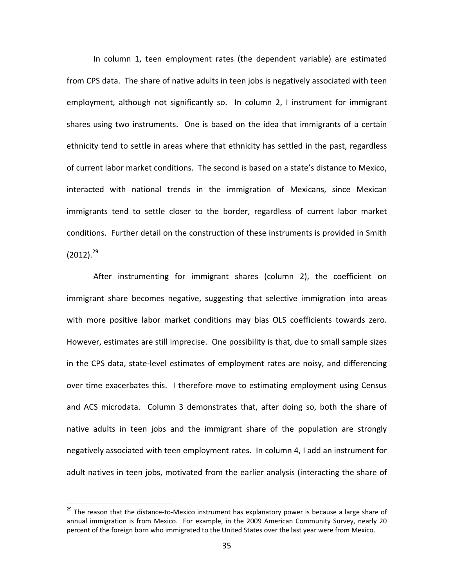In column 1, teen employment rates (the dependent variable) are estimated from CPS data. The share of native adults in teen jobs is negatively associated with teen employment, although not significantly so. In column 2, I instrument for immigrant shares using two instruments. One is based on the idea that immigrants of a certain ethnicity tend to settle in areas where that ethnicity has settled in the past, regardless of current labor market conditions. The second is based on a state's distance to Mexico, interacted with national trends in the immigration of Mexicans, since Mexican immigrants tend to settle closer to the border, regardless of current labor market conditions. Further detail on the construction of these instruments is provided in Smith  $(2012).^{29}$ 

After instrumenting for immigrant shares (column 2), the coefficient on immigrant share becomes negative, suggesting that selective immigration into areas with more positive labor market conditions may bias OLS coefficients towards zero. However, estimates are still imprecise. One possibility is that, due to small sample sizes in the CPS data, state‐level estimates of employment rates are noisy, and differencing over time exacerbates this. I therefore move to estimating employment using Census and ACS microdata. Column 3 demonstrates that, after doing so, both the share of native adults in teen jobs and the immigrant share of the population are strongly negatively associated with teen employment rates. In column 4, I add an instrument for adult natives in teen jobs, motivated from the earlier analysis (interacting the share of

 $^{29}$  The reason that the distance-to-Mexico instrument has explanatory power is because a large share of annual immigration is from Mexico. For example, in the 2009 American Community Survey, nearly 20 percent of the foreign born who immigrated to the United States over the last year were from Mexico.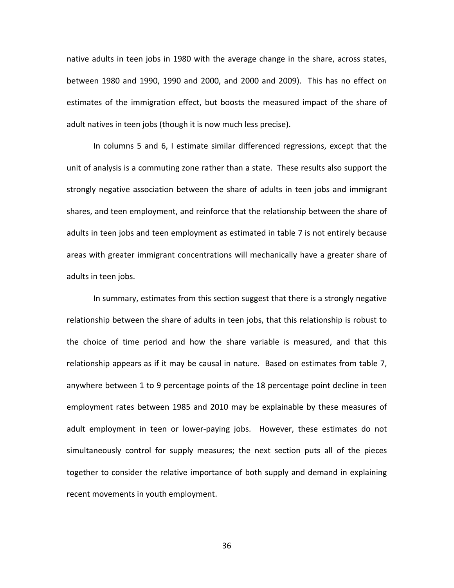native adults in teen jobs in 1980 with the average change in the share, across states, between 1980 and 1990, 1990 and 2000, and 2000 and 2009). This has no effect on estimates of the immigration effect, but boosts the measured impact of the share of adult natives in teen jobs (though it is now much less precise).

In columns 5 and 6, I estimate similar differenced regressions, except that the unit of analysis is a commuting zone rather than a state. These results also support the strongly negative association between the share of adults in teen jobs and immigrant shares, and teen employment, and reinforce that the relationship between the share of adults in teen jobs and teen employment as estimated in table 7 is not entirely because areas with greater immigrant concentrations will mechanically have a greater share of adults in teen jobs.

In summary, estimates from this section suggest that there is a strongly negative relationship between the share of adults in teen jobs, that this relationship is robust to the choice of time period and how the share variable is measured, and that this relationship appears as if it may be causal in nature. Based on estimates from table 7, anywhere between 1 to 9 percentage points of the 18 percentage point decline in teen employment rates between 1985 and 2010 may be explainable by these measures of adult employment in teen or lower-paying jobs. However, these estimates do not simultaneously control for supply measures; the next section puts all of the pieces together to consider the relative importance of both supply and demand in explaining recent movements in youth employment.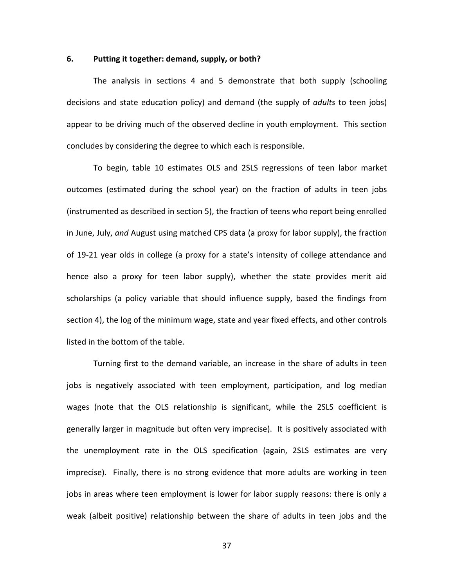# **6. Putting it together: demand, supply, or both?**

The analysis in sections 4 and 5 demonstrate that both supply (schooling decisions and state education policy) and demand (the supply of *adults* to teen jobs) appear to be driving much of the observed decline in youth employment. This section concludes by considering the degree to which each is responsible.

To begin, table 10 estimates OLS and 2SLS regressions of teen labor market outcomes (estimated during the school year) on the fraction of adults in teen jobs (instrumented as described in section 5), the fraction of teens who report being enrolled in June, July, *and* August using matched CPS data (a proxy for labor supply), the fraction of 19‐21 year olds in college (a proxy for a state's intensity of college attendance and hence also a proxy for teen labor supply), whether the state provides merit aid scholarships (a policy variable that should influence supply, based the findings from section 4), the log of the minimum wage, state and year fixed effects, and other controls listed in the bottom of the table.

Turning first to the demand variable, an increase in the share of adults in teen jobs is negatively associated with teen employment, participation, and log median wages (note that the OLS relationship is significant, while the 2SLS coefficient is generally larger in magnitude but often very imprecise). It is positively associated with the unemployment rate in the OLS specification (again, 2SLS estimates are very imprecise). Finally, there is no strong evidence that more adults are working in teen jobs in areas where teen employment is lower for labor supply reasons: there is only a weak (albeit positive) relationship between the share of adults in teen jobs and the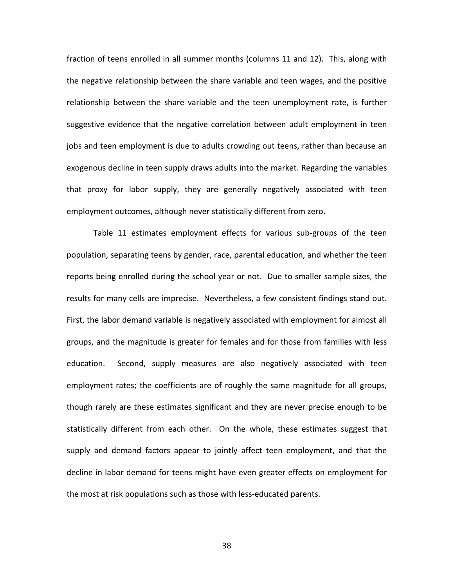fraction of teens enrolled in all summer months (columns 11 and 12). This, along with the negative relationship between the share variable and teen wages, and the positive relationship between the share variable and the teen unemployment rate, is further suggestive evidence that the negative correlation between adult employment in teen jobs and teen employment is due to adults crowding out teens, rather than because an exogenous decline in teen supply draws adults into the market. Regarding the variables that proxy for labor supply, they are generally negatively associated with teen employment outcomes, although never statistically different from zero.

Table 11 estimates employment effects for various sub‐groups of the teen population, separating teens by gender, race, parental education, and whether the teen reports being enrolled during the school year or not. Due to smaller sample sizes, the results for many cells are imprecise. Nevertheless, a few consistent findings stand out. First, the labor demand variable is negatively associated with employment for almost all groups, and the magnitude is greater for females and for those from families with less education. Second, supply measures are also negatively associated with teen employment rates; the coefficients are of roughly the same magnitude for all groups, though rarely are these estimates significant and they are never precise enough to be statistically different from each other. On the whole, these estimates suggest that supply and demand factors appear to jointly affect teen employment, and that the decline in labor demand for teens might have even greater effects on employment for the most at risk populations such as those with less‐educated parents.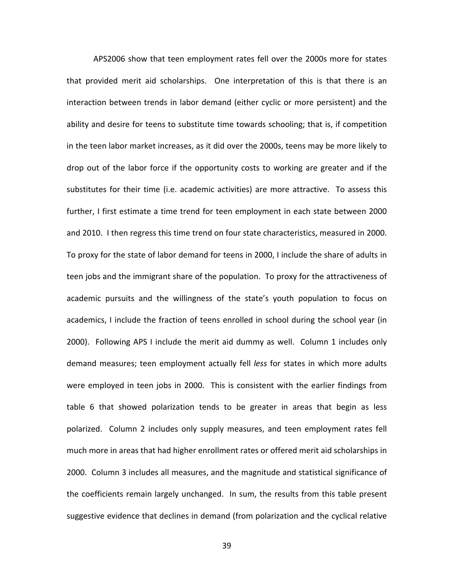APS2006 show that teen employment rates fell over the 2000s more for states that provided merit aid scholarships. One interpretation of this is that there is an interaction between trends in labor demand (either cyclic or more persistent) and the ability and desire for teens to substitute time towards schooling; that is, if competition in the teen labor market increases, as it did over the 2000s, teens may be more likely to drop out of the labor force if the opportunity costs to working are greater and if the substitutes for their time (i.e. academic activities) are more attractive. To assess this further, I first estimate a time trend for teen employment in each state between 2000 and 2010. I then regress this time trend on four state characteristics, measured in 2000. To proxy for the state of labor demand for teens in 2000, I include the share of adults in teen jobs and the immigrant share of the population. To proxy for the attractiveness of academic pursuits and the willingness of the state's youth population to focus on academics, I include the fraction of teens enrolled in school during the school year (in 2000). Following APS I include the merit aid dummy as well. Column 1 includes only demand measures; teen employment actually fell *less* for states in which more adults were employed in teen jobs in 2000. This is consistent with the earlier findings from table 6 that showed polarization tends to be greater in areas that begin as less polarized. Column 2 includes only supply measures, and teen employment rates fell much more in areas that had higher enrollment rates or offered merit aid scholarships in 2000. Column 3 includes all measures, and the magnitude and statistical significance of the coefficients remain largely unchanged. In sum, the results from this table present suggestive evidence that declines in demand (from polarization and the cyclical relative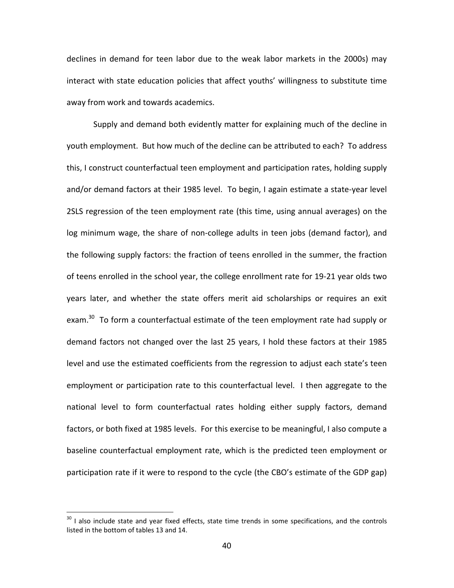declines in demand for teen labor due to the weak labor markets in the 2000s) may interact with state education policies that affect youths' willingness to substitute time away from work and towards academics.

Supply and demand both evidently matter for explaining much of the decline in youth employment. But how much of the decline can be attributed to each? To address this, I construct counterfactual teen employment and participation rates, holding supply and/or demand factors at their 1985 level. To begin, I again estimate a state‐year level 2SLS regression of the teen employment rate (this time, using annual averages) on the log minimum wage, the share of non-college adults in teen jobs (demand factor), and the following supply factors: the fraction of teens enrolled in the summer, the fraction of teens enrolled in the school year, the college enrollment rate for 19‐21 year olds two years later, and whether the state offers merit aid scholarships or requires an exit exam.<sup>30</sup> To form a counterfactual estimate of the teen employment rate had supply or demand factors not changed over the last 25 years, I hold these factors at their 1985 level and use the estimated coefficients from the regression to adjust each state's teen employment or participation rate to this counterfactual level. I then aggregate to the national level to form counterfactual rates holding either supply factors, demand factors, or both fixed at 1985 levels. For this exercise to be meaningful, I also compute a baseline counterfactual employment rate, which is the predicted teen employment or participation rate if it were to respond to the cycle (the CBO's estimate of the GDP gap)

 $\overline{a}$ 

 $30$  I also include state and year fixed effects, state time trends in some specifications, and the controls listed in the bottom of tables 13 and 14.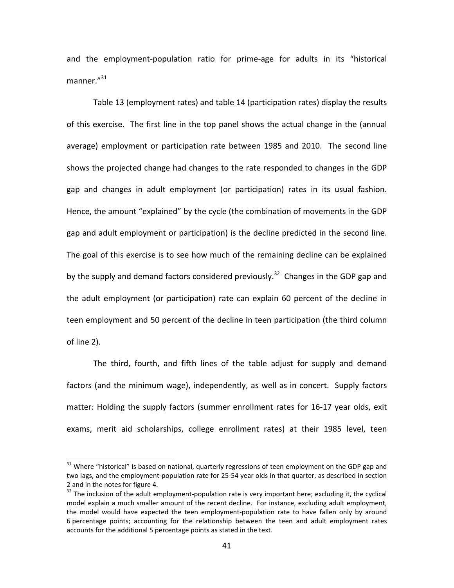and the employment‐population ratio for prime‐age for adults in its "historical manner."<sup>31</sup>

Table 13 (employment rates) and table 14 (participation rates) display the results of this exercise. The first line in the top panel shows the actual change in the (annual average) employment or participation rate between 1985 and 2010. The second line shows the projected change had changes to the rate responded to changes in the GDP gap and changes in adult employment (or participation) rates in its usual fashion. Hence, the amount "explained" by the cycle (the combination of movements in the GDP gap and adult employment or participation) is the decline predicted in the second line. The goal of this exercise is to see how much of the remaining decline can be explained by the supply and demand factors considered previously.<sup>32</sup> Changes in the GDP gap and the adult employment (or participation) rate can explain 60 percent of the decline in teen employment and 50 percent of the decline in teen participation (the third column of line 2).

The third, fourth, and fifth lines of the table adjust for supply and demand factors (and the minimum wage), independently, as well as in concert. Supply factors matter: Holding the supply factors (summer enrollment rates for 16‐17 year olds, exit exams, merit aid scholarships, college enrollment rates) at their 1985 level, teen

 $\overline{a}$ 

<sup>&</sup>lt;sup>31</sup> Where "historical" is based on national, quarterly regressions of teen employment on the GDP gap and two lags, and the employment‐population rate for 25‐54 year olds in that quarter, as described in section 2 and in the notes for figure 4.<br> $32$  The inclusion of the adult employment-population rate is very important here; excluding it, the cyclical

model explain a much smaller amount of the recent decline. For instance, excluding adult employment, the model would have expected the teen employment‐population rate to have fallen only by around 6 percentage points; accounting for the relationship between the teen and adult employment rates accounts for the additional 5 percentage points as stated in the text.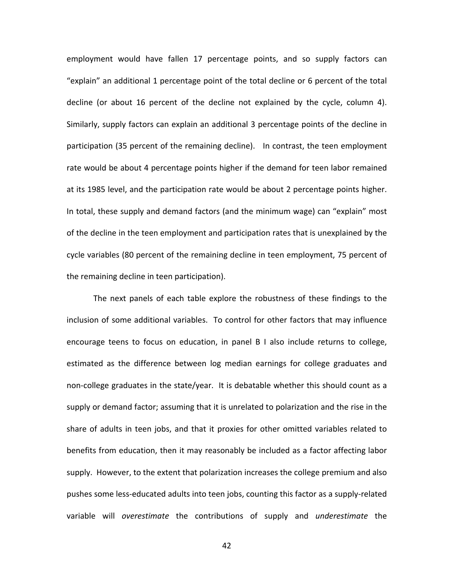employment would have fallen 17 percentage points, and so supply factors can "explain" an additional 1 percentage point of the total decline or 6 percent of the total decline (or about 16 percent of the decline not explained by the cycle, column 4). Similarly, supply factors can explain an additional 3 percentage points of the decline in participation (35 percent of the remaining decline). In contrast, the teen employment rate would be about 4 percentage points higher if the demand for teen labor remained at its 1985 level, and the participation rate would be about 2 percentage points higher. In total, these supply and demand factors (and the minimum wage) can "explain" most of the decline in the teen employment and participation rates that is unexplained by the cycle variables (80 percent of the remaining decline in teen employment, 75 percent of the remaining decline in teen participation).

The next panels of each table explore the robustness of these findings to the inclusion of some additional variables. To control for other factors that may influence encourage teens to focus on education, in panel B I also include returns to college, estimated as the difference between log median earnings for college graduates and non‐college graduates in the state/year. It is debatable whether this should count as a supply or demand factor; assuming that it is unrelated to polarization and the rise in the share of adults in teen jobs, and that it proxies for other omitted variables related to benefits from education, then it may reasonably be included as a factor affecting labor supply. However, to the extent that polarization increases the college premium and also pushes some less‐educated adults into teen jobs, counting this factor as a supply‐related variable will *overestimate* the contributions of supply and *underestimate* the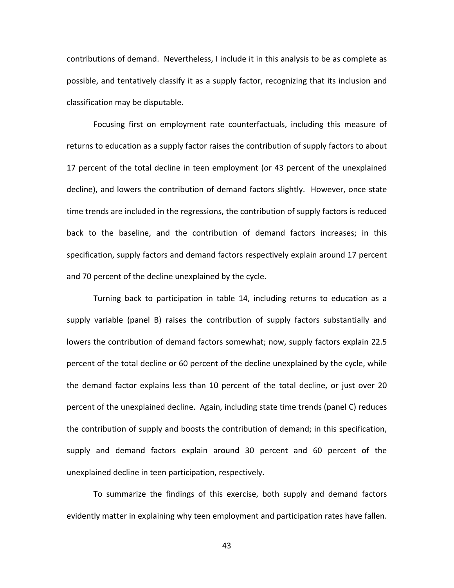contributions of demand. Nevertheless, I include it in this analysis to be as complete as possible, and tentatively classify it as a supply factor, recognizing that its inclusion and classification may be disputable.

Focusing first on employment rate counterfactuals, including this measure of returns to education as a supply factor raises the contribution of supply factors to about 17 percent of the total decline in teen employment (or 43 percent of the unexplained decline), and lowers the contribution of demand factors slightly. However, once state time trends are included in the regressions, the contribution of supply factors is reduced back to the baseline, and the contribution of demand factors increases; in this specification, supply factors and demand factors respectively explain around 17 percent and 70 percent of the decline unexplained by the cycle.

Turning back to participation in table 14, including returns to education as a supply variable (panel B) raises the contribution of supply factors substantially and lowers the contribution of demand factors somewhat; now, supply factors explain 22.5 percent of the total decline or 60 percent of the decline unexplained by the cycle, while the demand factor explains less than 10 percent of the total decline, or just over 20 percent of the unexplained decline. Again, including state time trends (panel C) reduces the contribution of supply and boosts the contribution of demand; in this specification, supply and demand factors explain around 30 percent and 60 percent of the unexplained decline in teen participation, respectively.

To summarize the findings of this exercise, both supply and demand factors evidently matter in explaining why teen employment and participation rates have fallen.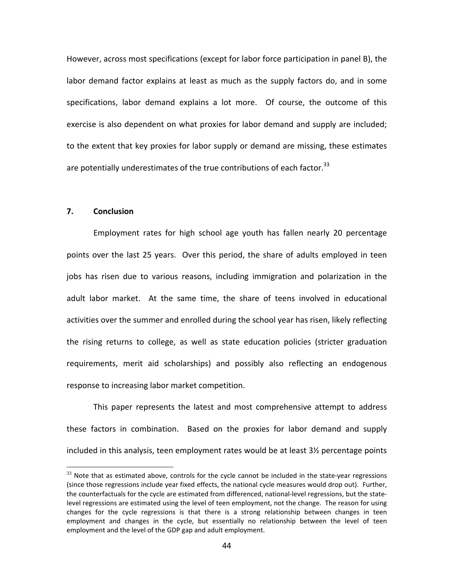However, across most specifications (except for labor force participation in panel B), the labor demand factor explains at least as much as the supply factors do, and in some specifications, labor demand explains a lot more. Of course, the outcome of this exercise is also dependent on what proxies for labor demand and supply are included; to the extent that key proxies for labor supply or demand are missing, these estimates are potentially underestimates of the true contributions of each factor. $^{33}$ 

# **7. Conclusion**

 $\overline{a}$ 

Employment rates for high school age youth has fallen nearly 20 percentage points over the last 25 years. Over this period, the share of adults employed in teen jobs has risen due to various reasons, including immigration and polarization in the adult labor market. At the same time, the share of teens involved in educational activities over the summer and enrolled during the school year has risen, likely reflecting the rising returns to college, as well as state education policies (stricter graduation requirements, merit aid scholarships) and possibly also reflecting an endogenous response to increasing labor market competition.

This paper represents the latest and most comprehensive attempt to address these factors in combination. Based on the proxies for labor demand and supply included in this analysis, teen employment rates would be at least 3½ percentage points

 $33$  Note that as estimated above, controls for the cycle cannot be included in the state-year regressions (since those regressions include year fixed effects, the national cycle measures would drop out). Further, the counterfactuals for the cycle are estimated from differenced, national‐level regressions, but the state‐ level regressions are estimated using the level of teen employment, not the change. The reason for using changes for the cycle regressions is that there is a strong relationship between changes in teen employment and changes in the cycle, but essentially no relationship between the level of teen employment and the level of the GDP gap and adult employment.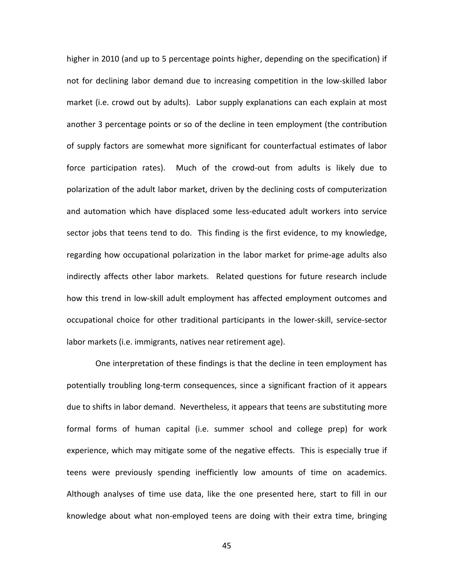higher in 2010 (and up to 5 percentage points higher, depending on the specification) if not for declining labor demand due to increasing competition in the low‐skilled labor market (i.e. crowd out by adults). Labor supply explanations can each explain at most another 3 percentage points or so of the decline in teen employment (the contribution of supply factors are somewhat more significant for counterfactual estimates of labor force participation rates). Much of the crowd-out from adults is likely due to polarization of the adult labor market, driven by the declining costs of computerization and automation which have displaced some less‐educated adult workers into service sector jobs that teens tend to do. This finding is the first evidence, to my knowledge, regarding how occupational polarization in the labor market for prime‐age adults also indirectly affects other labor markets. Related questions for future research include how this trend in low‐skill adult employment has affected employment outcomes and occupational choice for other traditional participants in the lower‐skill, service‐sector labor markets (i.e. immigrants, natives near retirement age).

One interpretation of these findings is that the decline in teen employment has potentially troubling long‐term consequences, since a significant fraction of it appears due to shifts in labor demand. Nevertheless, it appears that teens are substituting more formal forms of human capital (i.e. summer school and college prep) for work experience, which may mitigate some of the negative effects. This is especially true if teens were previously spending inefficiently low amounts of time on academics. Although analyses of time use data, like the one presented here, start to fill in our knowledge about what non‐employed teens are doing with their extra time, bringing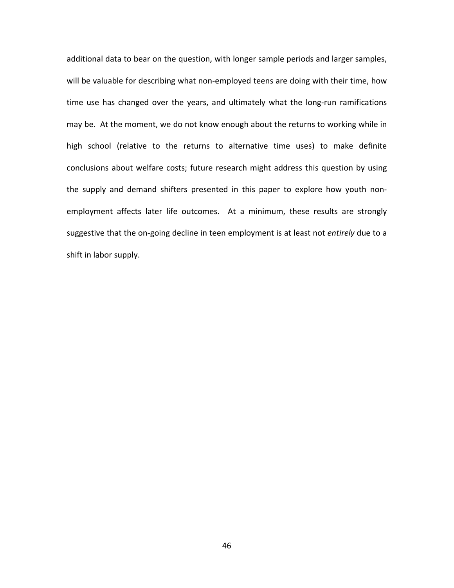additional data to bear on the question, with longer sample periods and larger samples, will be valuable for describing what non-employed teens are doing with their time, how time use has changed over the years, and ultimately what the long-run ramifications may be. At the moment, we do not know enough about the returns to working while in high school (relative to the returns to alternative time uses) to make definite conclusions about welfare costs; future research might address this question by using the supply and demand shifters presented in this paper to explore how youth non‐ employment affects later life outcomes. At a minimum, these results are strongly suggestive that the on‐going decline in teen employment is at least not *entirely* due to a shift in labor supply.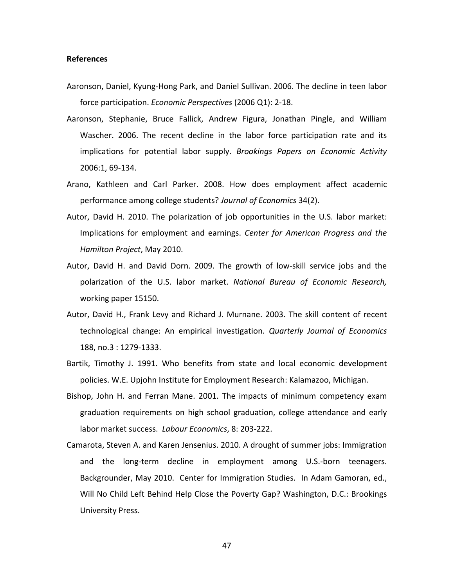### **References**

- Aaronson, Daniel, Kyung‐Hong Park, and Daniel Sullivan. 2006. The decline in teen labor force participation. *Economic Perspectives* (2006 Q1): 2‐18.
- Aaronson, Stephanie, Bruce Fallick, Andrew Figura, Jonathan Pingle, and William Wascher. 2006. The recent decline in the labor force participation rate and its implications for potential labor supply. *Brookings Papers on Economic Activity* 2006:1, 69‐134.
- Arano, Kathleen and Carl Parker. 2008. How does employment affect academic performance among college students? *Journal of Economics* 34(2).
- Autor, David H. 2010. The polarization of job opportunities in the U.S. labor market: Implications for employment and earnings. *Center for American Progress and the Hamilton Project*, May 2010.
- Autor, David H. and David Dorn. 2009. The growth of low‐skill service jobs and the polarization of the U.S. labor market. *National Bureau of Economic Research,* working paper 15150.
- Autor, David H., Frank Levy and Richard J. Murnane. 2003. The skill content of recent technological change: An empirical investigation. *Quarterly Journal of Economics* 188, no.3 : 1279‐1333.
- Bartik, Timothy J. 1991. Who benefits from state and local economic development policies. W.E. Upjohn Institute for Employment Research: Kalamazoo, Michigan.
- Bishop, John H. and Ferran Mane. 2001. The impacts of minimum competency exam graduation requirements on high school graduation, college attendance and early labor market success. *Labour Economics*, 8: 203‐222.
- Camarota, Steven A. and Karen Jensenius. 2010. A drought of summer jobs: Immigration and the long-term decline in employment among U.S.-born teenagers. Backgrounder, May 2010. Center for Immigration Studies. In Adam Gamoran, ed., Will No Child Left Behind Help Close the Poverty Gap? Washington, D.C.: Brookings University Press.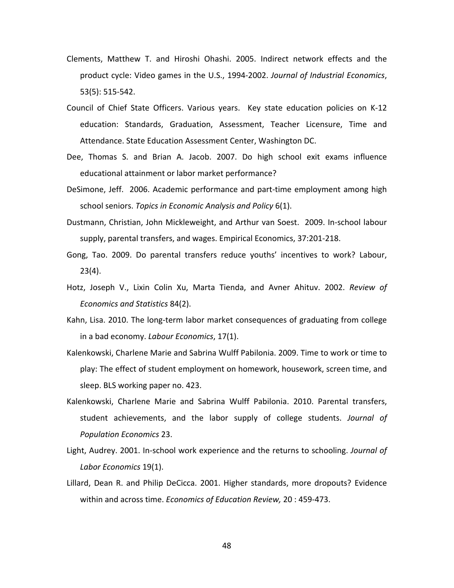- Clements, Matthew T. and Hiroshi Ohashi. 2005. Indirect network effects and the product cycle: Video games in the U.S., 1994‐2002. *Journal of Industrial Economics*, 53(5): 515‐542.
- Council of Chief State Officers. Various years. Key state education policies on K‐12 education: Standards, Graduation, Assessment, Teacher Licensure, Time and Attendance. State Education Assessment Center, Washington DC.
- Dee, Thomas S. and Brian A. Jacob. 2007. Do high school exit exams influence educational attainment or labor market performance?
- DeSimone, Jeff. 2006. Academic performance and part‐time employment among high school seniors. *Topics in Economic Analysis and Policy* 6(1).
- Dustmann, Christian, John Mickleweight, and Arthur van Soest. 2009. In‐school labour supply, parental transfers, and wages. Empirical Economics, 37:201‐218.
- Gong, Tao. 2009. Do parental transfers reduce youths' incentives to work? Labour, 23(4).
- Hotz, Joseph V., Lixin Colin Xu, Marta Tienda, and Avner Ahituv. 2002. *Review of Economics and Statistics* 84(2).
- Kahn, Lisa. 2010. The long‐term labor market consequences of graduating from college in a bad economy. *Labour Economics*, 17(1).
- Kalenkowski, Charlene Marie and Sabrina Wulff Pabilonia. 2009. Time to work or time to play: The effect of student employment on homework, housework, screen time, and sleep. BLS working paper no. 423.
- Kalenkowski, Charlene Marie and Sabrina Wulff Pabilonia. 2010. Parental transfers, student achievements, and the labor supply of college students. *Journal of Population Economics* 23.
- Light, Audrey. 2001. In‐school work experience and the returns to schooling. *Journal of Labor Economics* 19(1).
- Lillard, Dean R. and Philip DeCicca. 2001. Higher standards, more dropouts? Evidence within and across time. *Economics of Education Review,* 20 : 459‐473.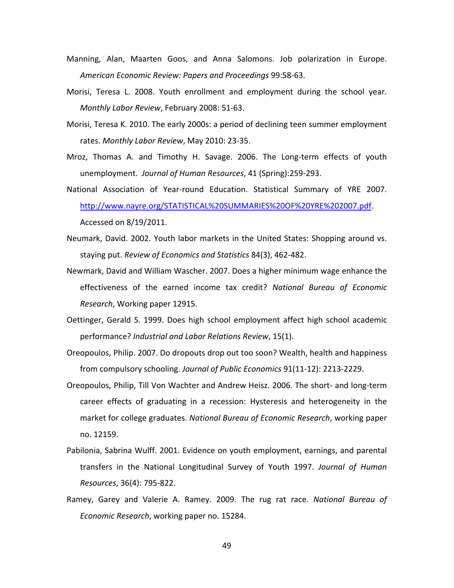- Manning, Alan, Maarten Goos, and Anna Salomons. Job polarization in Europe. *American Economic Review: Papers and Proceedings* 99:58‐63.
- Morisi, Teresa L. 2008. Youth enrollment and employment during the school year. *Monthly Labor Review*, February 2008: 51‐63.
- Morisi, Teresa K. 2010. The early 2000s: a period of declining teen summer employment rates. *Monthly Labor Review*, May 2010: 23‐35.
- Mroz, Thomas A. and Timothy H. Savage. 2006. The Long‐term effects of youth unemployment. *Journal of Human Resources*, 41 (Spring):259‐293.
- National Association of Year‐round Education. Statistical Summary of YRE 2007. http://www.nayre.org/STATISTICAL%20SUMMARIES%20OF%20YRE%202007.pdf. Accessed on 8/19/2011.
- Neumark, David. 2002. Youth labor markets in the United States: Shopping around vs. staying put. *Review of Economics and Statistics* 84(3), 462‐482.
- Newmark, David and William Wascher. 2007. Does a higher minimum wage enhance the effectiveness of the earned income tax credit? *National Bureau of Economic Research*, Working paper 12915.
- Oettinger, Gerald S. 1999. Does high school employment affect high school academic performance? *Industrial and Labor Relations Review*, 15(1).
- Oreopoulos, Philip. 2007. Do dropouts drop out too soon? Wealth, health and happiness from compulsory schooling. *Journal of Public Economics* 91(11‐12): 2213‐2229.
- Oreopoulos, Philip, Till Von Wachter and Andrew Heisz. 2006. The short‐ and long‐term career effects of graduating in a recession: Hysteresis and heterogeneity in the market for college graduates. *National Bureau of Economic Research*, working paper no. 12159.
- Pabilonia, Sabrina Wulff. 2001. Evidence on youth employment, earnings, and parental transfers in the National Longitudinal Survey of Youth 1997. *Journal of Human Resources*, 36(4): 795‐822.
- Ramey, Garey and Valerie A. Ramey. 2009. The rug rat race. *National Bureau of Economic Research*, working paper no. 15284.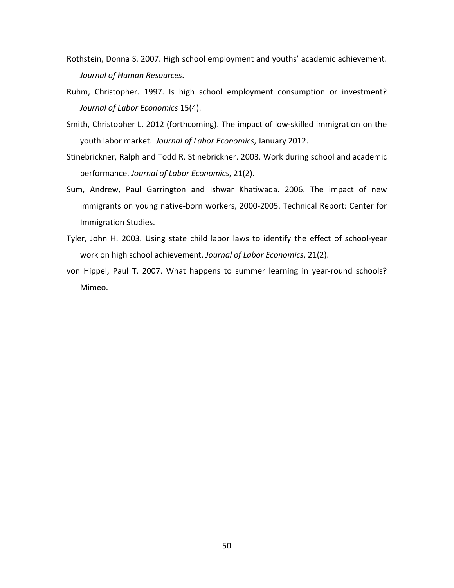- Rothstein, Donna S. 2007. High school employment and youths' academic achievement. *Journal of Human Resources*.
- Ruhm, Christopher. 1997. Is high school employment consumption or investment? *Journal of Labor Economics* 15(4).
- Smith, Christopher L. 2012 (forthcoming). The impact of low‐skilled immigration on the youth labor market. *Journal of Labor Economics*, January 2012.
- Stinebrickner, Ralph and Todd R. Stinebrickner. 2003. Work during school and academic performance. *Journal of Labor Economics*, 21(2).
- Sum, Andrew, Paul Garrington and Ishwar Khatiwada. 2006. The impact of new immigrants on young native‐born workers, 2000‐2005. Technical Report: Center for Immigration Studies.
- Tyler, John H. 2003. Using state child labor laws to identify the effect of school‐year work on high school achievement. *Journal of Labor Economics*, 21(2).
- von Hippel, Paul T. 2007. What happens to summer learning in year-round schools? Mimeo.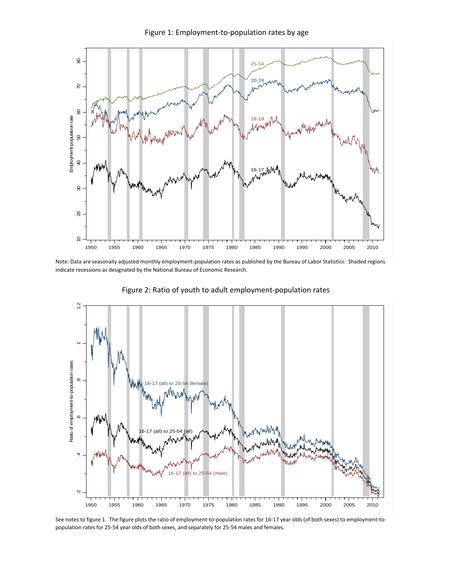

Note: Data are seasonally adjusted monthly employment‐population rates as published by the Bureau of Labor Statistics. Shaded regions indicate recessions as designated by the National Bureau of Economic Research.



Figure 2: Ratio of youth to adult employment‐population rates

See notes to figure 1. The figure plots the ratio of employment‐to‐population rates for 16‐17 year olds (of both sexes) to employment‐to‐ population rates for 25‐54 year olds of both sexes, and separately for 25‐54 males and females.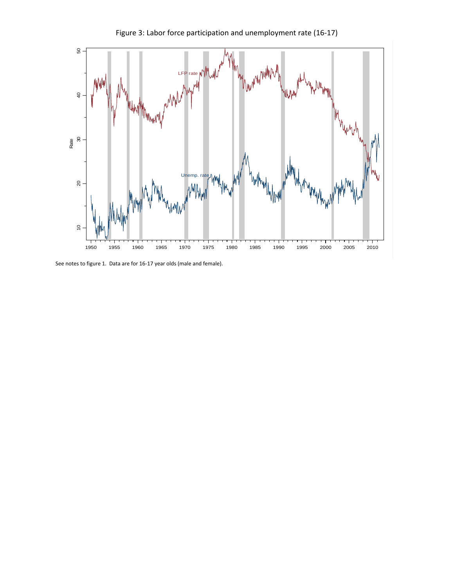

Figure 3: Labor force participation and unemployment rate (16‐17)

See notes to figure 1. Data are for 16‐17 year olds (male and female).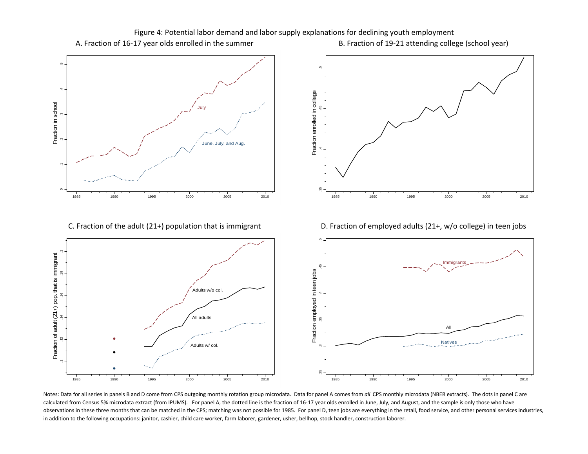

C. Fraction





B. Fraction of 19-21 attending college (school year)



D. Fraction of employed adults (21+, w/o college) in teen jobs



Notes: Data for all series in panels B and D come from CPS outgoing monthly rotation group microdata. Data for panel A comes from *all* CPS monthly microdata (NBER extracts). The dots in panel C are calculated from Census 5% microdata extract (from IPUMS). For panel A, the dotted line is the fraction of 16-17 year olds enrolled in June, July, and August, and the sample is only those who have observations in these three months that can be matched in the CPS; matching was not possible for 1985. For panel D, teen jobs are everything in the retail, food service, and other personal services industries, in addition to the following occupations: janitor, cashier, child care worker, farm laborer, gardener, usher, bellhop, stock handler, construction laborer.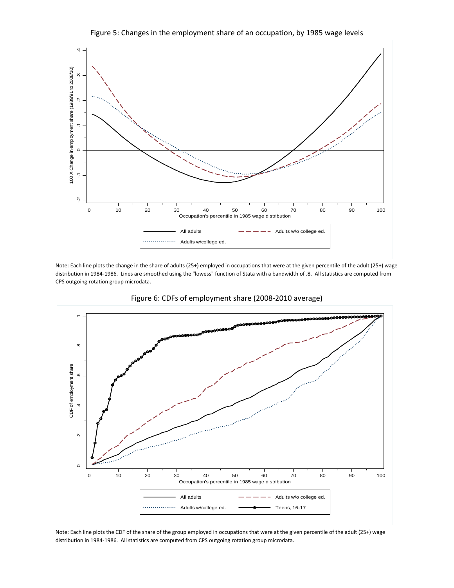



Note: Each line plots the change in the share of adults (25+) employed in occupations that were at the given percentile of the adult (25+) wage distribution in 1984‐1986. Lines are smoothed using the "lowess" function of Stata with a bandwidth of .8. All statistics are computed from CPS outgoing rotation group microdata.



Figure 6: CDFs of employment share (2008‐2010 average)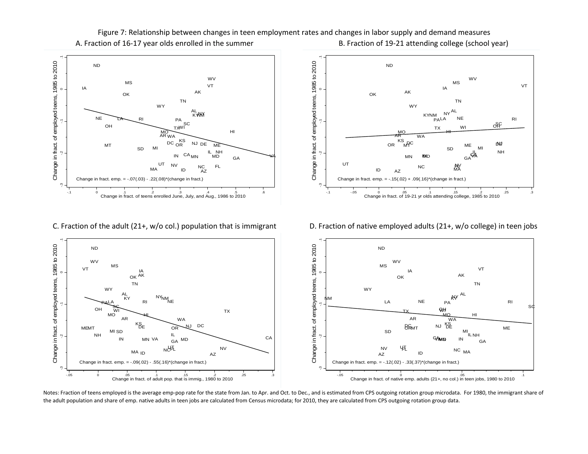

A. FractionB. Fraction of 19-21 attending college (school year) Figure 7: Relationship between changes in teen employment rates and changes in labor supply and demand measures



D. Fraction of native employed adults (21+, w/o college) in teen jobs

0 .05 .1 Change in fract. of native emp. adults (21+, no col.) in teen jobs, 1980 to 2010

C. Fraction

0 .05 .1 .15 .2 .25 .3 Change in fract. of adult pop. that is immig., 1980 to 2010

-.05



Notes: Fraction of teens employed is the average emp‐pop rate for the state from Jan. to Apr. and Oct. to Dec., and is estimated from CPS outgoing rotation group microdata. For 1980, the immigrant share of the adult population and share of emp. native adults in teen jobs are calculated from Census microdata; for 2010, they are calculated from CPS outgoing rotation group data.

-.05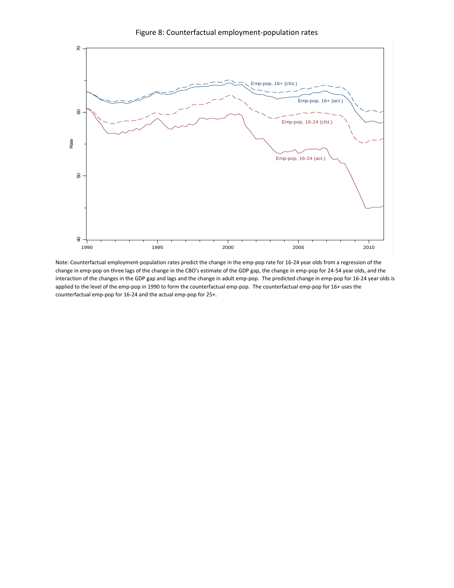

Figure 8: Counterfactual employment‐population rates

Note: Counterfactual employment-population rates predict the change in the emp-pop rate for 16-24 year olds from a regression of the change in emp‐pop on three lags of the change in the CBO's estimate of the GDP gap, the change in emp‐pop for 24‐54 year olds, and the interaction of the changes in the GDP gap and lags and the change in adult emp-pop. The predicted change in emp-pop for 16-24 year olds is applied to the level of the emp-pop in 1990 to form the counterfactual emp-pop. The counterfactual emp-pop for 16+ uses the counterfactual emp‐pop for 16‐24 and the actual emp‐pop for 25+.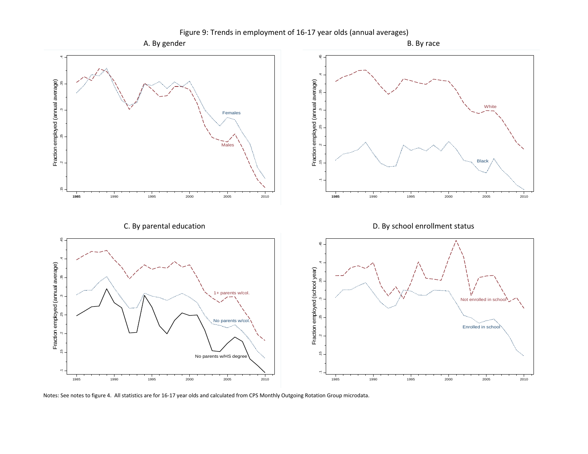

Notes: See notes to figure 4. All statistics are for 16‐17 year olds and calculated from CPS Monthly Outgoing Rotation Group microdata.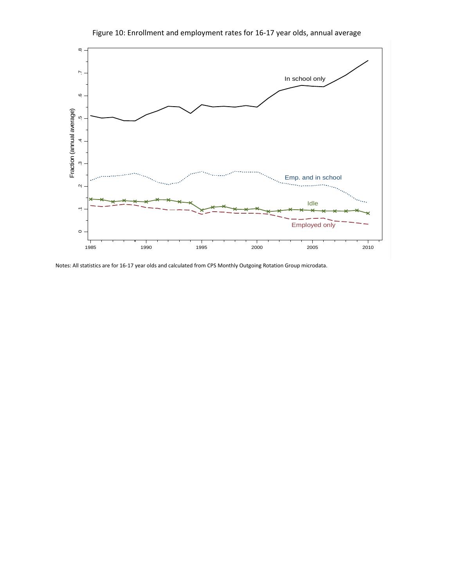

Figure 10: Enrollment and employment rates for 16‐17 year olds, annual average

Notes: All statistics are for 16‐17 year olds and calculated from CPS Monthly Outgoing Rotation Group microdata.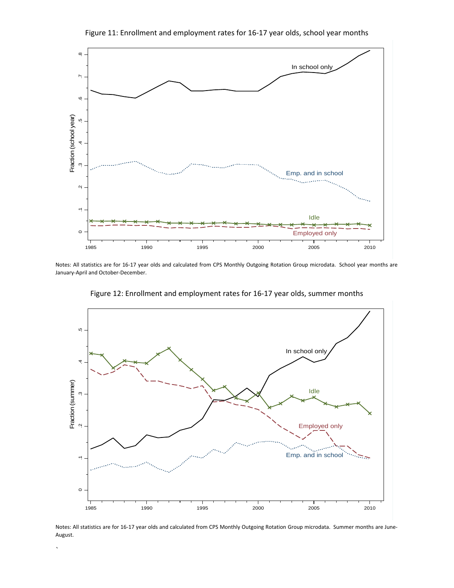

Notes: All statistics are for 16‐17 year olds and calculated from CPS Monthly Outgoing Rotation Group microdata. School year months are January‐April and October‐December.



Figure 12: Enrollment and employment rates for 16‐17 year olds, summer months

Notes: All statistics are for 16‐17 year olds and calculated from CPS Monthly Outgoing Rotation Group microdata. Summer months are June‐ August.

 $\overline{\phantom{a}}$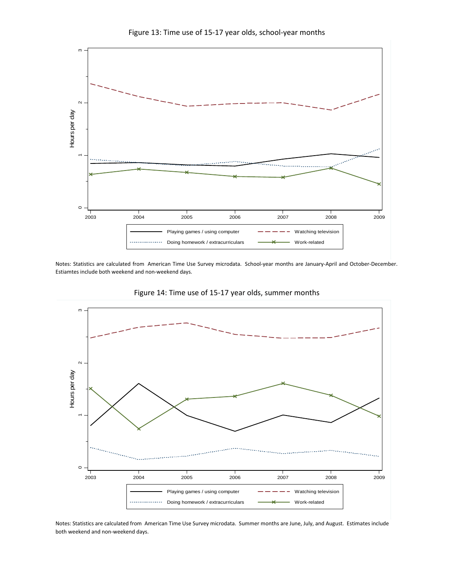



Notes: Statistics are calculated from American Time Use Survey microdata. School‐year months are January‐April and October‐December. Estiamtes include both weekend and non‐weekend days.



Figure 14: Time use of 15‐17 year olds, summer months

Notes: Statistics are calculated from American Time Use Survey microdata. Summer months are June, July, and August. Estimates include both weekend and non‐weekend days.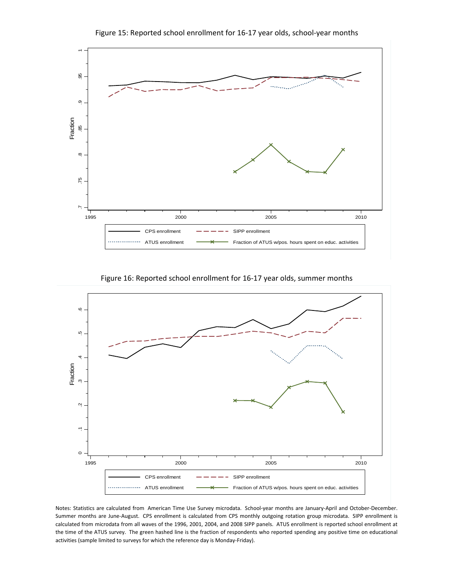

Figure 15: Reported school enrollment for 16‐17 year olds, school‐year months

Figure 16: Reported school enrollment for 16‐17 year olds, summer months



Notes: Statistics are calculated from American Time Use Survey microdata. School‐year months are January‐April and October‐December. Summer months are June‐August. CPS enrollment is calculated from CPS monthly outgoing rotation group microdata. SIPP enrollment is calculated from microdata from all waves of the 1996, 2001, 2004, and 2008 SIPP panels. ATUS enrollment is reported school enrollment at the time of the ATUS survey. The green hashed line is the fraction of respondents who reported spending any positive time on educational activities (sample limited to surveys for which the reference day is Monday‐Friday).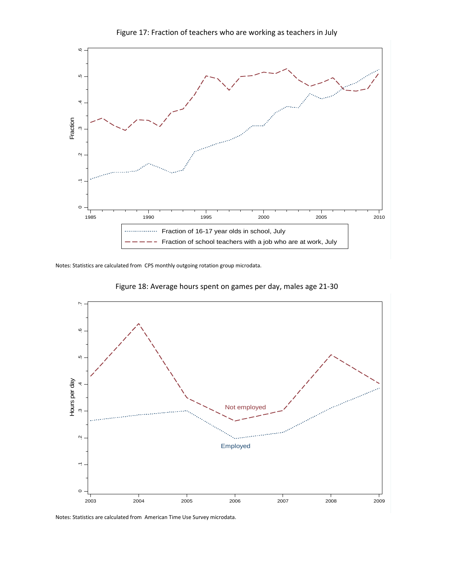

Figure 17: Fraction of teachers who are working as teachers in July

Notes: Statistics are calculated from CPS monthly outgoing rotation group microdata.





Notes: Statistics are calculated from American Time Use Survey microdata.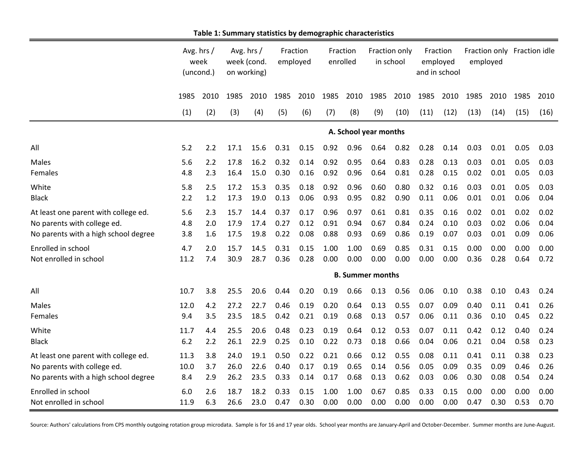|                                      |      | Avg. hrs /<br>week<br>(uncond.) | Avg. hrs /<br>week (cond.<br>on working) |      | Fraction<br>employed |      | Fraction<br>enrolled |      | Fraction only<br>in school |      | Fraction<br>employed<br>and in school |      | Fraction only Fraction idle<br>employed |      |      |      |
|--------------------------------------|------|---------------------------------|------------------------------------------|------|----------------------|------|----------------------|------|----------------------------|------|---------------------------------------|------|-----------------------------------------|------|------|------|
|                                      | 1985 | 2010                            | 1985                                     | 2010 | 1985                 | 2010 | 1985                 | 2010 | 1985                       | 2010 | 1985                                  | 2010 | 1985                                    | 2010 | 1985 | 2010 |
|                                      | (1)  | (2)                             | (3)                                      | (4)  | (5)                  | (6)  | (7)                  | (8)  | (9)                        | (10) | (11)                                  | (12) | (13)                                    | (14) | (15) | (16) |
|                                      |      |                                 |                                          |      |                      |      |                      |      | A. School year months      |      |                                       |      |                                         |      |      |      |
| All                                  | 5.2  | 2.2                             | 17.1                                     | 15.6 | 0.31                 | 0.15 | 0.92                 | 0.96 | 0.64                       | 0.82 | 0.28                                  | 0.14 | 0.03                                    | 0.01 | 0.05 | 0.03 |
| Males                                | 5.6  | 2.2                             | 17.8                                     | 16.2 | 0.32                 | 0.14 | 0.92                 | 0.95 | 0.64                       | 0.83 | 0.28                                  | 0.13 | 0.03                                    | 0.01 | 0.05 | 0.03 |
| Females                              | 4.8  | 2.3                             | 16.4                                     | 15.0 | 0.30                 | 0.16 | 0.92                 | 0.96 | 0.64                       | 0.81 | 0.28                                  | 0.15 | 0.02                                    | 0.01 | 0.05 | 0.03 |
| White                                | 5.8  | 2.5                             | 17.2                                     | 15.3 | 0.35                 | 0.18 | 0.92                 | 0.96 | 0.60                       | 0.80 | 0.32                                  | 0.16 | 0.03                                    | 0.01 | 0.05 | 0.03 |
| <b>Black</b>                         | 2.2  | 1.2                             | 17.3                                     | 19.0 | 0.13                 | 0.06 | 0.93                 | 0.95 | 0.82                       | 0.90 | 0.11                                  | 0.06 | 0.01                                    | 0.01 | 0.06 | 0.04 |
| At least one parent with college ed. | 5.6  | 2.3                             | 15.7                                     | 14.4 | 0.37                 | 0.17 | 0.96                 | 0.97 | 0.61                       | 0.81 | 0.35                                  | 0.16 | 0.02                                    | 0.01 | 0.02 | 0.02 |
| No parents with college ed.          | 4.8  | 2.0                             | 17.9                                     | 17.4 | 0.27                 | 0.12 | 0.91                 | 0.94 | 0.67                       | 0.84 | 0.24                                  | 0.10 | 0.03                                    | 0.02 | 0.06 | 0.04 |
| No parents with a high school degree | 3.8  | 1.6                             | 17.5                                     | 19.8 | 0.22                 | 0.08 | 0.88                 | 0.93 | 0.69                       | 0.86 | 0.19                                  | 0.07 | 0.03                                    | 0.01 | 0.09 | 0.06 |
| Enrolled in school                   | 4.7  | 2.0                             | 15.7                                     | 14.5 | 0.31                 | 0.15 | 1.00                 | 1.00 | 0.69                       | 0.85 | 0.31                                  | 0.15 | 0.00                                    | 0.00 | 0.00 | 0.00 |
| Not enrolled in school               | 11.2 | 7.4                             | 30.9                                     | 28.7 | 0.36                 | 0.28 | 0.00                 | 0.00 | 0.00                       | 0.00 | 0.00                                  | 0.00 | 0.36                                    | 0.28 | 0.64 | 0.72 |
|                                      |      |                                 |                                          |      |                      |      |                      |      | <b>B. Summer months</b>    |      |                                       |      |                                         |      |      |      |
| All                                  | 10.7 | 3.8                             | 25.5                                     | 20.6 | 0.44                 | 0.20 | 0.19                 | 0.66 | 0.13                       | 0.56 | 0.06                                  | 0.10 | 0.38                                    | 0.10 | 0.43 | 0.24 |
| <b>Males</b>                         | 12.0 | 4.2                             | 27.2                                     | 22.7 | 0.46                 | 0.19 | 0.20                 | 0.64 | 0.13                       | 0.55 | 0.07                                  | 0.09 | 0.40                                    | 0.11 | 0.41 | 0.26 |
| Females                              | 9.4  | 3.5                             | 23.5                                     | 18.5 | 0.42                 | 0.21 | 0.19                 | 0.68 | 0.13                       | 0.57 | 0.06                                  | 0.11 | 0.36                                    | 0.10 | 0.45 | 0.22 |
| White                                | 11.7 | 4.4                             | 25.5                                     | 20.6 | 0.48                 | 0.23 | 0.19                 | 0.64 | 0.12                       | 0.53 | 0.07                                  | 0.11 | 0.42                                    | 0.12 | 0.40 | 0.24 |
| <b>Black</b>                         | 6.2  | 2.2                             | 26.1                                     | 22.9 | 0.25                 | 0.10 | 0.22                 | 0.73 | 0.18                       | 0.66 | 0.04                                  | 0.06 | 0.21                                    | 0.04 | 0.58 | 0.23 |
| At least one parent with college ed. | 11.3 | 3.8                             | 24.0                                     | 19.1 | 0.50                 | 0.22 | 0.21                 | 0.66 | 0.12                       | 0.55 | 0.08                                  | 0.11 | 0.41                                    | 0.11 | 0.38 | 0.23 |
| No parents with college ed.          | 10.0 | 3.7                             | 26.0                                     | 22.6 | 0.40                 | 0.17 | 0.19                 | 0.65 | 0.14                       | 0.56 | 0.05                                  | 0.09 | 0.35                                    | 0.09 | 0.46 | 0.26 |
| No parents with a high school degree | 8.4  | 2.9                             | 26.2                                     | 23.5 | 0.33                 | 0.14 | 0.17                 | 0.68 | 0.13                       | 0.62 | 0.03                                  | 0.06 | 0.30                                    | 0.08 | 0.54 | 0.24 |
| Enrolled in school                   | 6.0  | 2.6                             | 18.7                                     | 18.2 | 0.33                 | 0.15 | 1.00                 | 1.00 | 0.67                       | 0.85 | 0.33                                  | 0.15 | 0.00                                    | 0.00 | 0.00 | 0.00 |
| Not enrolled in school               | 11.9 | 6.3                             | 26.6                                     | 23.0 | 0.47                 | 0.30 | 0.00                 | 0.00 | 0.00                       | 0.00 | 0.00                                  | 0.00 | 0.47                                    | 0.30 | 0.53 | 0.70 |

**Table 1: Summary statistics by demographic characteristics**

Source: Authors' calculations from CPS monthly outgoing rotation group microdata. Sample is for 16 and 17 year olds. School year months are January‐April and October‐December. Summer months are June‐August.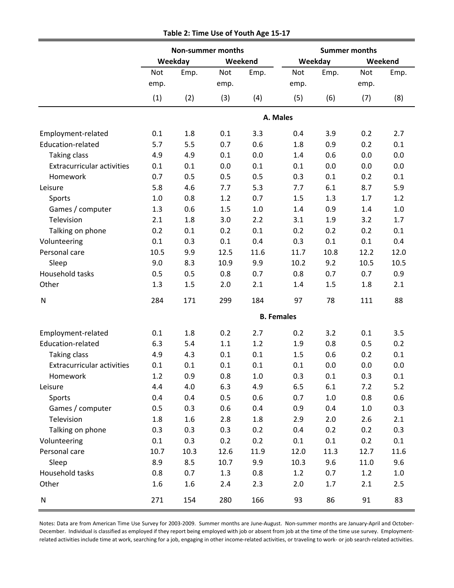|                                   |            |         | <b>Non-summer months</b> |         | <b>Summer months</b> |         |         |         |  |  |  |
|-----------------------------------|------------|---------|--------------------------|---------|----------------------|---------|---------|---------|--|--|--|
|                                   |            | Weekday |                          | Weekend |                      | Weekday |         | Weekend |  |  |  |
|                                   | <b>Not</b> | Emp.    | Not                      | Emp.    | <b>Not</b>           | Emp.    | Not     | Emp.    |  |  |  |
|                                   | emp.       |         | emp.                     |         | emp.                 |         | emp.    |         |  |  |  |
|                                   | (1)        | (2)     | (3)                      | (4)     | (5)                  | (6)     | (7)     | (8)     |  |  |  |
|                                   |            |         |                          |         | A. Males             |         |         |         |  |  |  |
| Employment-related                | 0.1        | 1.8     | 0.1                      | 3.3     | 0.4                  | 3.9     | 0.2     | 2.7     |  |  |  |
| Education-related                 | 5.7        | 5.5     | 0.7                      | 0.6     | 1.8                  | 0.9     | 0.2     | 0.1     |  |  |  |
| <b>Taking class</b>               | 4.9        | 4.9     | 0.1                      | 0.0     | 1.4                  | 0.6     | 0.0     | 0.0     |  |  |  |
| <b>Extracurricular activities</b> | 0.1        | 0.1     | 0.0                      | 0.1     | 0.1                  | 0.0     | 0.0     | 0.0     |  |  |  |
| Homework                          | 0.7        | 0.5     | 0.5                      | 0.5     | 0.3                  | 0.1     | 0.2     | 0.1     |  |  |  |
| Leisure                           | 5.8        | 4.6     | 7.7                      | 5.3     | 7.7                  | 6.1     | 8.7     | 5.9     |  |  |  |
| Sports                            | 1.0        | 0.8     | 1.2                      | 0.7     | 1.5                  | 1.3     | 1.7     | 1.2     |  |  |  |
| Games / computer                  | 1.3        | 0.6     | 1.5                      | 1.0     | 1.4                  | 0.9     | 1.4     | 1.0     |  |  |  |
| Television                        | 2.1        | 1.8     | 3.0                      | 2.2     | 3.1                  | 1.9     | 3.2     | 1.7     |  |  |  |
| Talking on phone                  | 0.2        | 0.1     | 0.2                      | 0.1     | 0.2                  | 0.2     | 0.2     | 0.1     |  |  |  |
| Volunteering                      | 0.1        | 0.3     | 0.1                      | 0.4     | 0.3                  | 0.1     | 0.1     | 0.4     |  |  |  |
| Personal care                     | 10.5       | 9.9     | 12.5                     | 11.6    | 11.7                 | 10.8    | 12.2    | 12.0    |  |  |  |
| Sleep                             | 9.0        | 8.3     | 10.9                     | 9.9     | 10.2                 | 9.2     | 10.5    | 10.5    |  |  |  |
| Household tasks                   | 0.5        | 0.5     | 0.8                      | 0.7     | 0.8                  | 0.7     | 0.7     | 0.9     |  |  |  |
| Other                             | 1.3        | 1.5     | 2.0                      | 2.1     | 1.4                  | 1.5     | 1.8     | 2.1     |  |  |  |
| N                                 | 284        | 171     | 299                      | 184     | 97                   | 78      | 111     | 88      |  |  |  |
|                                   |            |         |                          |         | <b>B.</b> Females    |         |         |         |  |  |  |
| Employment-related                | 0.1        | 1.8     | 0.2                      | 2.7     | 0.2                  | 3.2     | 0.1     | 3.5     |  |  |  |
| Education-related                 | 6.3        | 5.4     | 1.1                      | 1.2     | 1.9                  | 0.8     | 0.5     | 0.2     |  |  |  |
| <b>Taking class</b>               | 4.9        | 4.3     | 0.1                      | 0.1     | 1.5                  | 0.6     | 0.2     | 0.1     |  |  |  |
| <b>Extracurricular activities</b> | 0.1        | 0.1     | 0.1                      | 0.1     | 0.1                  | 0.0     | 0.0     | 0.0     |  |  |  |
| Homework                          | 1.2        | 0.9     | 0.8                      | 1.0     | 0.3                  | 0.1     | 0.3     | 0.1     |  |  |  |
| Leisure                           | 4.4        | 4.0     | 6.3                      | 4.9     | 6.5                  | 6.1     | 7.2     | 5.2     |  |  |  |
| Sports                            | 0.4        | 0.4     | 0.5                      | 0.6     | 0.7                  | $1.0\,$ | 0.8     | 0.6     |  |  |  |
| Games / computer                  | 0.5        | 0.3     | 0.6                      | 0.4     | 0.9                  | 0.4     | $1.0\,$ | 0.3     |  |  |  |
| Television                        | 1.8        | 1.6     | 2.8                      | 1.8     | 2.9                  | 2.0     | 2.6     | 2.1     |  |  |  |
| Talking on phone                  | 0.3        | 0.3     | 0.3                      | 0.2     | 0.4                  | 0.2     | 0.2     | 0.3     |  |  |  |
| Volunteering                      | 0.1        | 0.3     | 0.2                      | 0.2     | 0.1                  | 0.1     | 0.2     | 0.1     |  |  |  |
| Personal care                     | 10.7       | 10.3    | 12.6                     | 11.9    | 12.0                 | 11.3    | 12.7    | 11.6    |  |  |  |
| Sleep                             | 8.9        | 8.5     | 10.7                     | 9.9     | 10.3                 | 9.6     | 11.0    | 9.6     |  |  |  |
| Household tasks                   | 0.8        | 0.7     | 1.3                      | 0.8     | 1.2                  | 0.7     | 1.2     | 1.0     |  |  |  |
| Other                             | 1.6        | 1.6     | 2.4                      | 2.3     | 2.0                  | 1.7     | 2.1     | 2.5     |  |  |  |
| ${\sf N}$                         | 271        | 154     | 280                      | 166     | 93                   | 86      | 91      | 83      |  |  |  |

**Table 2: Time Use of Youth Age 15‐17**

Notes: Data are from American Time Use Survey for 2003‐2009. Summer months are June‐August. Non‐summer months are January‐April and October‐ December. Individual is classified as employed if they report being employed with job or absent from job at the time of the time use survey. Employmentrelated activities include time at work, searching for a job, engaging in other income‐related activities, or traveling to work‐ or job search‐related activities.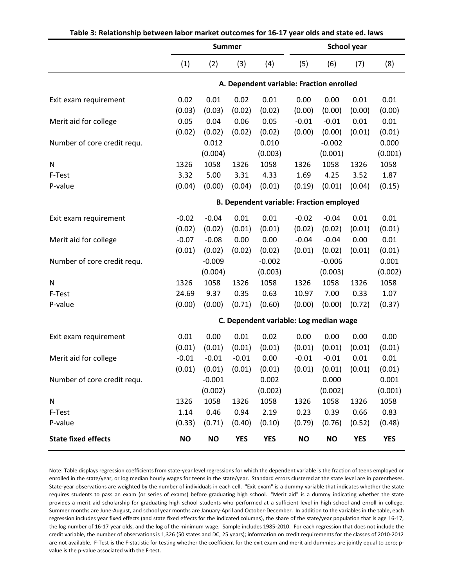|                             |                                                 | <b>Summer</b> |                            |                                          | <b>School year</b> |           |                   |            |  |  |
|-----------------------------|-------------------------------------------------|---------------|----------------------------|------------------------------------------|--------------------|-----------|-------------------|------------|--|--|
|                             | (1)                                             | (2)           | (3)                        | (4)                                      | (5)                | (6)       | (7)               | (8)        |  |  |
|                             |                                                 |               |                            | A. Dependent variable: Fraction enrolled |                    |           |                   |            |  |  |
| Exit exam requirement       | 0.02                                            | 0.01          | 0.02                       | 0.01                                     | 0.00               | 0.00      | 0.01              | 0.01       |  |  |
|                             | (0.03)                                          | (0.03)        | (0.02)                     | (0.02)                                   | (0.00)             | (0.00)    | (0.00)            | (0.00)     |  |  |
| Merit aid for college       | 0.05                                            | 0.04          | 0.06                       | 0.05                                     | $-0.01$            | $-0.01$   | 0.01              | 0.01       |  |  |
|                             | (0.02)                                          | (0.02)        | (0.02)                     | (0.02)                                   | (0.00)             | (0.00)    | (0.01)            | (0.01)     |  |  |
| Number of core credit requ. |                                                 | 0.012         |                            | 0.010                                    |                    | $-0.002$  |                   | 0.000      |  |  |
|                             |                                                 | (0.004)       |                            | (0.003)                                  |                    | (0.001)   |                   | (0.001)    |  |  |
| N                           | 1326                                            | 1058          | 1326                       | 1058                                     | 1326               | 1058      | 1326              | 1058       |  |  |
| F-Test                      | 3.32                                            | 5.00          | 3.31                       | 4.33                                     | 1.69               | 4.25      | 3.52              | 1.87       |  |  |
| P-value                     | (0.04)                                          | (0.00)        | (0.04)                     | (0.01)                                   | (0.19)             | (0.01)    | (0.04)            | (0.15)     |  |  |
|                             | <b>B. Dependent variable: Fraction employed</b> |               |                            |                                          |                    |           |                   |            |  |  |
|                             |                                                 |               |                            |                                          |                    |           |                   |            |  |  |
| Exit exam requirement       | $-0.02$                                         | $-0.04$       | 0.01                       | 0.01                                     | $-0.02$            | $-0.04$   | 0.01              | 0.01       |  |  |
|                             | (0.02)                                          | (0.02)        | (0.01)                     | (0.01)                                   | (0.02)             | (0.02)    | (0.01)            | (0.01)     |  |  |
| Merit aid for college       | $-0.07$                                         | $-0.08$       | 0.00                       | 0.00                                     | $-0.04$            | $-0.04$   | 0.00              | 0.01       |  |  |
|                             | (0.01)                                          | (0.02)        | (0.02)                     | (0.02)                                   | (0.01)             | (0.02)    | (0.01)            | (0.01)     |  |  |
| Number of core credit requ. |                                                 | $-0.009$      |                            | $-0.002$                                 |                    | $-0.006$  |                   | 0.001      |  |  |
|                             |                                                 | (0.004)       |                            | (0.003)                                  |                    | (0.003)   |                   | (0.002)    |  |  |
| N                           | 1326                                            | 1058          | 1326                       | 1058                                     | 1326               | 1058      | 1326              | 1058       |  |  |
| F-Test                      | 24.69                                           | 9.37          | 0.35                       | 0.63                                     | 10.97              | 7.00      | 0.33              | 1.07       |  |  |
| P-value                     | (0.00)                                          | (0.00)        | (0.71)                     | (0.60)                                   | (0.00)             | (0.00)    | (0.72)            | (0.37)     |  |  |
|                             |                                                 |               |                            | C. Dependent variable: Log median wage   |                    |           |                   |            |  |  |
| Exit exam requirement       | 0.01                                            | 0.00          | 0.01                       | 0.02                                     | 0.00               | 0.00      | 0.00              | 0.00       |  |  |
|                             | (0.01)                                          | (0.01)        | (0.01)                     | (0.01)                                   | (0.01)             | (0.01)    | (0.01)            | (0.01)     |  |  |
| Merit aid for college       | $-0.01$                                         | $-0.01$       | $-0.01$                    | 0.00                                     | $-0.01$            | $-0.01$   | 0.01              | 0.01       |  |  |
|                             | (0.01)                                          |               | $(0.01)$ $(0.01)$ $(0.01)$ |                                          | (0.01)             |           | $(0.01)$ $(0.01)$ | (0.01)     |  |  |
| Number of core credit requ. |                                                 | $-0.001$      |                            | 0.002                                    |                    | 0.000     |                   | 0.001      |  |  |
|                             |                                                 | (0.002)       |                            | (0.002)                                  |                    | (0.002)   |                   | (0.001)    |  |  |
| N                           | 1326                                            | 1058          | 1326                       | 1058                                     | 1326               | 1058      | 1326              | 1058       |  |  |
| F-Test                      | 1.14                                            | 0.46          | 0.94                       | 2.19                                     | 0.23               | 0.39      | 0.66              | 0.83       |  |  |
| P-value                     | (0.33)                                          | (0.71)        | (0.40)                     | (0.10)                                   | (0.79)             | (0.76)    | (0.52)            | (0.48)     |  |  |
| <b>State fixed effects</b>  | <b>NO</b>                                       | <b>NO</b>     | <b>YES</b>                 | <b>YES</b>                               | <b>NO</b>          | <b>NO</b> | <b>YES</b>        | <b>YES</b> |  |  |

# **Table 3: Relationship between labor market outcomes for 16‐17 year olds and state ed. laws**

Note: Table displays regression coefficients from state‐year level regressions for which the dependent variable is the fraction of teens employed or enrolled in the state/year, or log median hourly wages for teens in the state/year. Standard errors clustered at the state level are in parentheses. State-year observations are weighted by the number of individuals in each cell. "Exit exam" is a dummy variable that indicates whether the state requires students to pass an exam (or series of exams) before graduating high school. "Merit aid" is a dummy indicating whether the state provides a merit aid scholarship for graduating high school students who performed at a sufficient level in high school and enroll in college. Summer months are June‐August, and school year months are January‐April and October‐December. In addition to the variables in the table, each regression includes year fixed effects (and state fixed effects for the indicated columns), the share of the state/year population that is age 16‐17, the log number of 16-17 year olds, and the log of the minimum wage. Sample includes 1985-2010. For each regression that does not include the credit variable, the number of observations is 1,326 (50 states and DC, 25 years); information on credit requirements for the classes of 2010‐2012 are not available. F-Test is the F-statistic for testing whether the coefficient for the exit exam and merit aid dummies are jointly equal to zero; pvalue is the p-value associated with the F-test.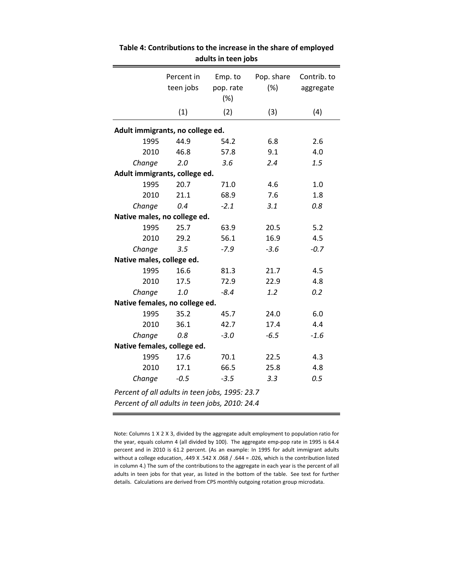|                                                | Percent in<br>teen jobs | Emp. to<br>pop. rate<br>(%) | Pop. share<br>(%) | Contrib. to<br>aggregate |
|------------------------------------------------|-------------------------|-----------------------------|-------------------|--------------------------|
|                                                | (1)                     | (2)                         | (3)               | (4)                      |
| Adult immigrants, no college ed.               |                         |                             |                   |                          |
| 1995                                           | 44.9                    | 54.2                        | 6.8               | 2.6                      |
| 2010                                           | 46.8                    | 57.8                        | 9.1               | 4.0                      |
| Change                                         | 2.0                     | 3.6                         | 2.4               | 1.5                      |
| Adult immigrants, college ed.                  |                         |                             |                   |                          |
| 1995                                           | 20.7                    | 71.0                        | 4.6               | 1.0                      |
| 2010                                           | 21.1                    | 68.9                        | 7.6               | 1.8                      |
| Change                                         | 0.4                     | $-2.1$                      | 3.1               | 0.8                      |
| Native males, no college ed.                   |                         |                             |                   |                          |
| 1995                                           | 25.7                    | 63.9                        | 20.5              | 5.2                      |
| 2010                                           | 29.2                    | 56.1                        | 16.9              | 4.5                      |
| Change                                         | 3.5                     | $-7.9$                      | $-3.6$            | $-0.7$                   |
| Native males, college ed.                      |                         |                             |                   |                          |
| 1995                                           | 16.6                    | 81.3                        | 21.7              | 4.5                      |
| 2010                                           | 17.5                    | 72.9                        | 22.9              | 4.8                      |
| Change                                         | 1.0                     | $-8.4$                      | 1.2               | 0.2                      |
| Native females, no college ed.                 |                         |                             |                   |                          |
| 1995                                           | 35.2                    | 45.7                        | 24.0              | 6.0                      |
| 2010                                           | 36.1                    | 42.7                        | 17.4              | 4.4                      |
| Change                                         | 0.8                     | $-3.0$                      | $-6.5$            | $-1.6$                   |
| Native females, college ed.                    |                         |                             |                   |                          |
| 1995                                           | 17.6                    | 70.1                        | 22.5              | 4.3                      |
| 2010                                           | 17.1                    | 66.5                        | 25.8              | 4.8                      |
| Change                                         | $-0.5$                  | $-3.5$                      | 3.3               | 0.5                      |
| Percent of all adults in teen jobs, 1995: 23.7 |                         |                             |                   |                          |
| Percent of all adults in teen jobs, 2010: 24.4 |                         |                             |                   |                          |

**Table 4: Contributions to the increase in the share of employed adults in teen jobs**

Note: Columns 1 X 2 X 3, divided by the aggregate adult employment to population ratio for the year, equals column 4 (all divided by 100). The aggregate emp‐pop rate in 1995 is 64.4 percent and in 2010 is 61.2 percent. (As an example: In 1995 for adult immigrant adults without a college education, .449 X .542 X .068 / .644 = .026, which is the contribution listed in column 4.) The sum of the contributions to the aggregate in each year is the percent of all adults in teen jobs for that year, as listed in the bottom of the table. See text for further details. Calculations are derived from CPS monthly outgoing rotation group microdata.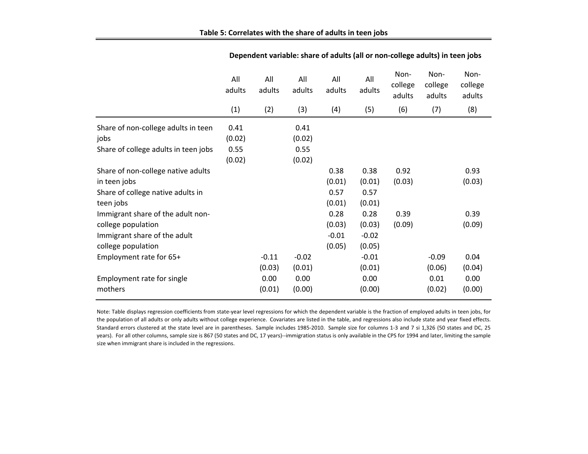|                                      | All<br>adults | All<br>adults | All<br>adults | All<br>adults | All<br>adults | Non-<br>college<br>adults | Non-<br>college<br>adults | Non-<br>college<br>adults |
|--------------------------------------|---------------|---------------|---------------|---------------|---------------|---------------------------|---------------------------|---------------------------|
|                                      | (1)           | (2)           | (3)           | (4)           | (5)           | (6)                       | (7)                       | (8)                       |
| Share of non-college adults in teen  | 0.41          |               | 0.41          |               |               |                           |                           |                           |
| jobs                                 | (0.02)        |               | (0.02)        |               |               |                           |                           |                           |
| Share of college adults in teen jobs | 0.55          |               | 0.55          |               |               |                           |                           |                           |
|                                      | (0.02)        |               | (0.02)        |               |               |                           |                           |                           |
| Share of non-college native adults   |               |               |               | 0.38          | 0.38          | 0.92                      |                           | 0.93                      |
| in teen jobs                         |               |               |               | (0.01)        | (0.01)        | (0.03)                    |                           | (0.03)                    |
| Share of college native adults in    |               |               |               | 0.57          | 0.57          |                           |                           |                           |
| teen jobs                            |               |               |               | (0.01)        | (0.01)        |                           |                           |                           |
| Immigrant share of the adult non-    |               |               |               | 0.28          | 0.28          | 0.39                      |                           | 0.39                      |
| college population                   |               |               |               | (0.03)        | (0.03)        | (0.09)                    |                           | (0.09)                    |
| Immigrant share of the adult         |               |               |               | $-0.01$       | $-0.02$       |                           |                           |                           |
| college population                   |               |               |               | (0.05)        | (0.05)        |                           |                           |                           |
| Employment rate for 65+              |               | $-0.11$       | $-0.02$       |               | $-0.01$       |                           | $-0.09$                   | 0.04                      |
|                                      |               | (0.03)        | (0.01)        |               | (0.01)        |                           | (0.06)                    | (0.04)                    |
| Employment rate for single           |               | 0.00          | 0.00          |               | 0.00          |                           | 0.01                      | 0.00                      |
| mothers                              |               | (0.01)        | (0.00)        |               | (0.00)        |                           | (0.02)                    | (0.00)                    |

**Table 5: Correlates with the share of adults in teen jobs**

**Dependent variable: share of adults (all or non‐college adults) in teen jobs**

Note: Table displays regression coefficients from state-year level regressions for which the dependent variable is the fraction of employed adults in teen jobs, for the population of all adults or only adults without college experience. Covariates are listed in the table, and regressions also include state and year fixed effects. Standard errors clustered at the state level are in parentheses. Sample includes 1985‐2010. Sample size for columns 1‐3 and 7 si 1,326 (50 states and DC, 25 years). For all other columns, sample size is 867 (50 states and DC, 17 years)--immigration status is only available in the CPS for 1994 and later, limiting the sample size when immigrant share is included in the regressions.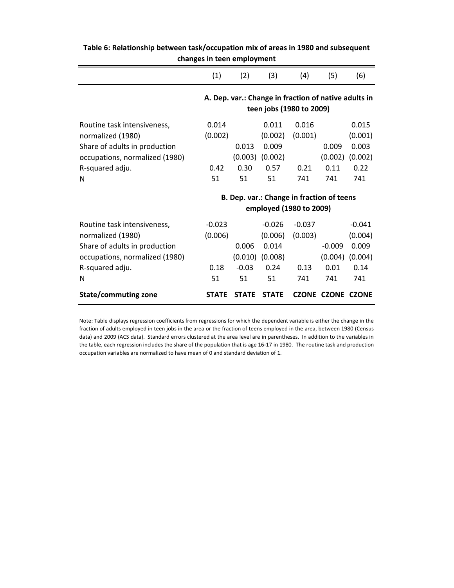|                                                                                                                                             | (1)                               | (2)                               | (3)                                                                              | (4)                                | (5)                                | (6)                                                    |
|---------------------------------------------------------------------------------------------------------------------------------------------|-----------------------------------|-----------------------------------|----------------------------------------------------------------------------------|------------------------------------|------------------------------------|--------------------------------------------------------|
|                                                                                                                                             |                                   |                                   | A. Dep. var.: Change in fraction of native adults in<br>teen jobs (1980 to 2009) |                                    |                                    |                                                        |
| Routine task intensiveness.<br>normalized (1980)<br>Share of adults in production<br>occupations, normalized (1980)                         | 0.014<br>(0.002)                  | 0.013                             | 0.011<br>(0.002)<br>0.009<br>$(0.003)$ $(0.002)$                                 | 0.016<br>(0.001)                   | 0.009<br>(0.002)                   | 0.015<br>(0.001)<br>0.003<br>(0.002)                   |
| R-squared adju.<br>N                                                                                                                        | 0.42<br>51                        | 0.30<br>51                        | 0.57<br>51                                                                       | 0.21<br>741                        | 0.11<br>741                        | 0.22<br>741                                            |
|                                                                                                                                             |                                   |                                   | B. Dep. var.: Change in fraction of teens<br>employed (1980 to 2009)             |                                    |                                    |                                                        |
| Routine task intensiveness,<br>normalized (1980)<br>Share of adults in production<br>occupations, normalized (1980)<br>R-squared adju.<br>N | $-0.023$<br>(0.006)<br>0.18<br>51 | 0.006<br>(0.010)<br>$-0.03$<br>51 | $-0.026$<br>(0.006)<br>0.014<br>(0.008)<br>0.24<br>51                            | $-0.037$<br>(0.003)<br>0.13<br>741 | $-0.009$<br>(0.004)<br>0.01<br>741 | $-0.041$<br>(0.004)<br>0.009<br>(0.004)<br>0.14<br>741 |
| State/commuting zone                                                                                                                        | <b>STATE</b>                      | <b>STATE</b>                      | <b>STATE</b>                                                                     | <b>CZONE</b>                       | <b>CZONE</b>                       | <b>CZONE</b>                                           |

**Table 6: Relationship between task/occupation mix of areas in 1980 and subsequent changes in teen employment**

Note: Table displays regression coefficients from regressions for which the dependent variable is either the change in the fraction of adults employed in teen jobs in the area or the fraction of teens employed in the area, between 1980 (Census data) and 2009 (ACS data). Standard errors clustered at the area level are in parentheses. In addition to the variables in the table, each regression includes the share of the population that is age 16‐17 in 1980. The routine task and production occupation variables are normalized to have mean of 0 and standard deviation of 1.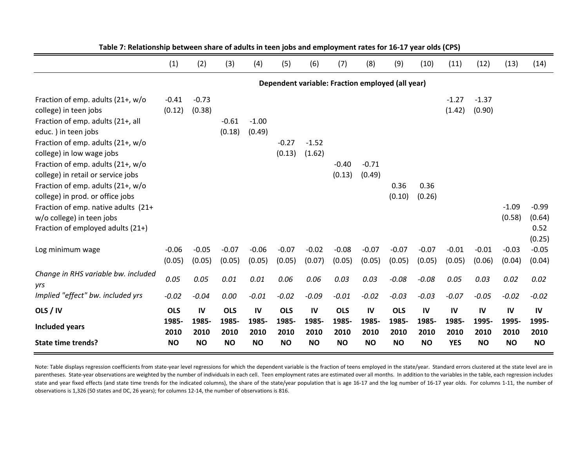|                                                                         | (1)        | (2)       | (3)        | (4)       | (5)        | (6)       | (7)        | (8)                                              | (9)        | (10)      | (11)       | (12)      | (13)      | (14)      |
|-------------------------------------------------------------------------|------------|-----------|------------|-----------|------------|-----------|------------|--------------------------------------------------|------------|-----------|------------|-----------|-----------|-----------|
|                                                                         |            |           |            |           |            |           |            | Dependent variable: Fraction employed (all year) |            |           |            |           |           |           |
| Fraction of emp. adults (21+, w/o                                       | $-0.41$    | $-0.73$   |            |           |            |           |            |                                                  |            |           | $-1.27$    | $-1.37$   |           |           |
| college) in teen jobs                                                   | (0.12)     | (0.38)    |            |           |            |           |            |                                                  |            |           | (1.42)     | (0.90)    |           |           |
| Fraction of emp. adults (21+, all                                       |            |           | $-0.61$    | $-1.00$   |            |           |            |                                                  |            |           |            |           |           |           |
| educ.) in teen jobs                                                     |            |           | (0.18)     | (0.49)    |            |           |            |                                                  |            |           |            |           |           |           |
| Fraction of emp. adults (21+, w/o                                       |            |           |            |           | $-0.27$    | $-1.52$   |            |                                                  |            |           |            |           |           |           |
| college) in low wage jobs                                               |            |           |            |           | (0.13)     | (1.62)    |            |                                                  |            |           |            |           |           |           |
| Fraction of emp. adults (21+, w/o                                       |            |           |            |           |            |           | $-0.40$    | $-0.71$                                          |            |           |            |           |           |           |
| college) in retail or service jobs<br>Fraction of emp. adults (21+, w/o |            |           |            |           |            |           | (0.13)     | (0.49)                                           | 0.36       | 0.36      |            |           |           |           |
| college) in prod. or office jobs                                        |            |           |            |           |            |           |            |                                                  | (0.10)     | (0.26)    |            |           |           |           |
| Fraction of emp. native adults (21+                                     |            |           |            |           |            |           |            |                                                  |            |           |            |           | $-1.09$   | $-0.99$   |
| w/o college) in teen jobs                                               |            |           |            |           |            |           |            |                                                  |            |           |            |           | (0.58)    | (0.64)    |
| Fraction of employed adults (21+)                                       |            |           |            |           |            |           |            |                                                  |            |           |            |           |           | 0.52      |
|                                                                         |            |           |            |           |            |           |            |                                                  |            |           |            |           |           | (0.25)    |
| Log minimum wage                                                        | $-0.06$    | $-0.05$   | $-0.07$    | $-0.06$   | $-0.07$    | $-0.02$   | $-0.08$    | $-0.07$                                          | $-0.07$    | $-0.07$   | $-0.01$    | $-0.01$   | $-0.03$   | $-0.05$   |
|                                                                         | (0.05)     | (0.05)    | (0.05)     | (0.05)    | (0.05)     | (0.07)    | (0.05)     | (0.05)                                           | (0.05)     | (0.05)    | (0.05)     | (0.06)    | (0.04)    | (0.04)    |
| Change in RHS variable bw. included<br>yrs                              | 0.05       | 0.05      | 0.01       | 0.01      | 0.06       | 0.06      | 0.03       | 0.03                                             | $-0.08$    | $-0.08$   | 0.05       | 0.03      | 0.02      | 0.02      |
| Implied "effect" bw. included yrs                                       | $-0.02$    | $-0.04$   | 0.00       | $-0.01$   | $-0.02$    | $-0.09$   | $-0.01$    | $-0.02$                                          | $-0.03$    | $-0.03$   | $-0.07$    | $-0.05$   | $-0.02$   | $-0.02$   |
| OLS / IV                                                                | <b>OLS</b> | IV        | <b>OLS</b> | IV        | <b>OLS</b> | IV        | <b>OLS</b> | IV                                               | <b>OLS</b> | IV        | IV         | IV        | IV        | IV        |
| <b>Included years</b>                                                   | 1985-      | 1985-     | 1985-      | 1985-     | 1985-      | 1985-     | 1985-      | 1985-                                            | 1985-      | 1985-     | 1985-      | 1995-     | 1995-     | 1995-     |
|                                                                         | 2010       | 2010      | 2010       | 2010      | 2010       | 2010      | 2010       | 2010                                             | 2010       | 2010      | 2010       | 2010      | 2010      | 2010      |
| <b>State time trends?</b>                                               | <b>NO</b>  | <b>NO</b> | <b>NO</b>  | <b>NO</b> | <b>NO</b>  | <b>NO</b> | <b>NO</b>  | <b>NO</b>                                        | <b>NO</b>  | <b>NO</b> | <b>YES</b> | <b>NO</b> | <b>NO</b> | <b>NO</b> |

Table 7: Relationship between share of adults in teen jobs and employment rates for 16-17 year olds (CPS)

Note: Table displays regression coefficients from state-year level regressions for which the dependent variable is the fraction of teens employed in the state/year. Standard errors clustered at the state level are in parentheses. State-year observations are weighted by the number of individuals in each cell. Teen employment rates are estimated over all months. In addition to the variables in the table, each regression includes state and year fixed effects (and state time trends for the indicated columns), the share of the state/year population that is age 16‐17 and the log number of 16‐17 year olds. For columns 1‐11, the number of observations is 1,326 (50 states and DC, 26 years); for columns 12‐14, the number of observations is 816.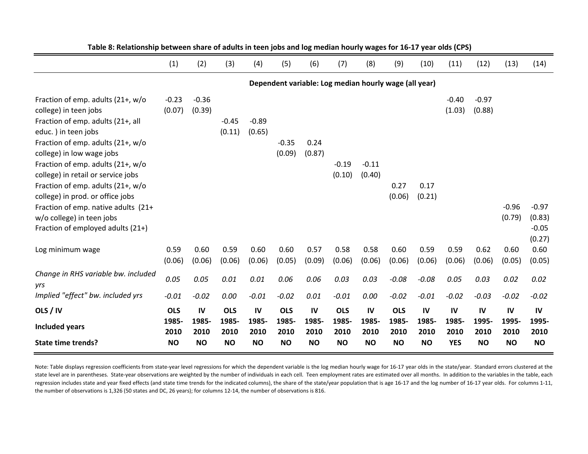|                                                                                                             | (1)               | (2)               | (3)            | (4)            | (5)               | (6)            | (7)            | (8)                                                   | (9)            | (10)           | (11)              | (12)              | (13)              | (14)                                   |
|-------------------------------------------------------------------------------------------------------------|-------------------|-------------------|----------------|----------------|-------------------|----------------|----------------|-------------------------------------------------------|----------------|----------------|-------------------|-------------------|-------------------|----------------------------------------|
|                                                                                                             |                   |                   |                |                |                   |                |                | Dependent variable: Log median hourly wage (all year) |                |                |                   |                   |                   |                                        |
| Fraction of emp. adults (21+, w/o<br>college) in teen jobs<br>Fraction of emp. adults (21+, all             | $-0.23$<br>(0.07) | $-0.36$<br>(0.39) | $-0.45$        | $-0.89$        |                   |                |                |                                                       |                |                | $-0.40$<br>(1.03) | $-0.97$<br>(0.88) |                   |                                        |
| educ.) in teen jobs                                                                                         |                   |                   | (0.11)         | (0.65)         |                   |                |                |                                                       |                |                |                   |                   |                   |                                        |
| Fraction of emp. adults (21+, w/o<br>college) in low wage jobs                                              |                   |                   |                |                | $-0.35$<br>(0.09) | 0.24<br>(0.87) |                |                                                       |                |                |                   |                   |                   |                                        |
| Fraction of emp. adults $(21+, w/o)$                                                                        |                   |                   |                |                |                   |                | $-0.19$        | $-0.11$                                               |                |                |                   |                   |                   |                                        |
| college) in retail or service jobs<br>Fraction of emp. adults (21+, w/o<br>college) in prod. or office jobs |                   |                   |                |                |                   |                | (0.10)         | (0.40)                                                | 0.27<br>(0.06) | 0.17<br>(0.21) |                   |                   |                   |                                        |
| Fraction of emp. native adults (21+<br>w/o college) in teen jobs<br>Fraction of employed adults (21+)       |                   |                   |                |                |                   |                |                |                                                       |                |                |                   |                   | $-0.96$<br>(0.79) | $-0.97$<br>(0.83)<br>$-0.05$<br>(0.27) |
| Log minimum wage                                                                                            | 0.59<br>(0.06)    | 0.60<br>(0.06)    | 0.59<br>(0.06) | 0.60<br>(0.06) | 0.60<br>(0.05)    | 0.57<br>(0.09) | 0.58<br>(0.06) | 0.58<br>(0.06)                                        | 0.60<br>(0.06) | 0.59<br>(0.06) | 0.59<br>(0.06)    | 0.62<br>(0.06)    | 0.60<br>(0.05)    | 0.60<br>(0.05)                         |
| Change in RHS variable bw. included<br>yrs                                                                  | 0.05              | 0.05              | 0.01           | 0.01           | 0.06              | 0.06           | 0.03           | 0.03                                                  | $-0.08$        | $-0.08$        | 0.05              | 0.03              | 0.02              | 0.02                                   |
| Implied "effect" bw. included yrs                                                                           | $-0.01$           | $-0.02$           | $0.00\,$       | $-0.01$        | $-0.02$           | $0.01\,$       | $-0.01$        | 0.00                                                  | $-0.02$        | $-0.01$        | $-0.02$           | $-0.03$           | $-0.02$           | $-0.02$                                |
| OLS / IV                                                                                                    | <b>OLS</b>        | IV                | <b>OLS</b>     | IV             | <b>OLS</b>        | IV             | <b>OLS</b>     | IV                                                    | <b>OLS</b>     | IV             | IV                | IV                | IV                | IV                                     |
| <b>Included years</b>                                                                                       | 1985-<br>2010     | 1985-<br>2010     | 1985-<br>2010  | 1985-<br>2010  | 1985-<br>2010     | 1985-<br>2010  | 1985-<br>2010  | 1985-<br>2010                                         | 1985-<br>2010  | 1985-<br>2010  | 1985-<br>2010     | 1995-<br>2010     | 1995-<br>2010     | 1995-<br>2010                          |
| <b>State time trends?</b>                                                                                   | <b>NO</b>         | <b>NO</b>         | <b>NO</b>      | <b>NO</b>      | <b>NO</b>         | <b>NO</b>      | <b>NO</b>      | <b>NO</b>                                             | <b>NO</b>      | <b>NO</b>      | <b>YES</b>        | <b>NO</b>         | <b>NO</b>         | <b>NO</b>                              |

Table 8: Relationship between share of adults in teen jobs and log median hourly wages for 16-17 year olds (CPS)

Note: Table displays regression coefficients from state-year level regressions for which the dependent variable is the log median hourly wage for 16‐17 year olds in the state/year. Standard errors clustered at the state level are in parentheses. State-year observations are weighted by the number of individuals in each cell. Teen employment rates are estimated over all months. In addition to the variables in the table, each regression includes state and year fixed effects (and state time trends for the indicated columns), the share of the state/year population that is age 16-17 and the log number of 16-17 year olds. For columns 1-11, the number of observations is 1,326 (50 states and DC, 26 years); for columns 12‐14, the number of observations is 816.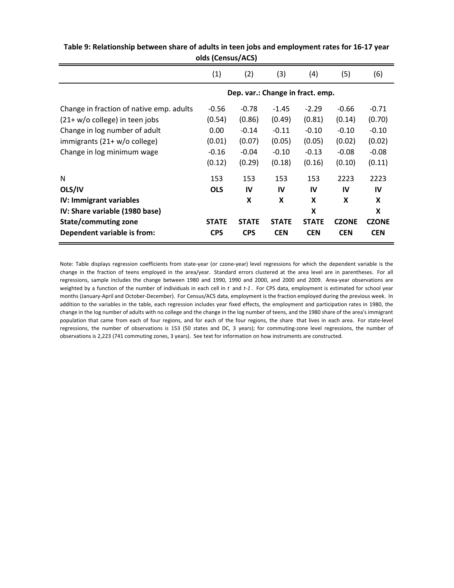| (1)          | (2)          | (3)          | (4)          | (5)          | (6)                              |
|--------------|--------------|--------------|--------------|--------------|----------------------------------|
|              |              |              |              |              |                                  |
| $-0.56$      | $-0.78$      | $-1.45$      | $-2.29$      | $-0.66$      | $-0.71$                          |
| (0.54)       | (0.86)       | (0.49)       | (0.81)       | (0.14)       | (0.70)                           |
| 0.00         | $-0.14$      | $-0.11$      | $-0.10$      | $-0.10$      | $-0.10$                          |
| (0.01)       | (0.07)       | (0.05)       | (0.05)       | (0.02)       | (0.02)                           |
| $-0.16$      | $-0.04$      | $-0.10$      | $-0.13$      | $-0.08$      | $-0.08$                          |
| (0.12)       | (0.29)       | (0.18)       | (0.16)       | (0.10)       | (0.11)                           |
| 153          | 153          | 153          | 153          | 2223         | 2223                             |
| <b>OLS</b>   | IV           | IV           | IV           | IV           | IV                               |
|              | X            | X            | X            | X            | X                                |
|              |              |              | X            |              | X                                |
| <b>STATE</b> | <b>STATE</b> | <b>STATE</b> | <b>STATE</b> | <b>CZONE</b> | <b>CZONE</b>                     |
| <b>CPS</b>   | <b>CPS</b>   | <b>CEN</b>   | <b>CEN</b>   | <b>CEN</b>   | <b>CEN</b>                       |
|              |              |              |              |              | Dep. var.: Change in fract. emp. |

| Table 9: Relationship between share of adults in teen jobs and employment rates for 16-17 year |
|------------------------------------------------------------------------------------------------|
| olds (Census/ACS)                                                                              |

Note: Table displays regression coefficients from state‐year (or czone‐year) level regressions for which the dependent variable is the change in the fraction of teens employed in the area/year. Standard errors clustered at the area level are in parentheses. For all regressions, sample includes the change between 1980 and 1990, 1990 and 2000, and 2000 and 2009. Area-year observations are weighted by a function of the number of individuals in each cell in *t* and *t‐1* . For CPS data, employment is estimated for school year months (January‐April and October‐December). For Census/ACS data, employment is the fraction employed during the previous week. In addition to the variables in the table, each regression includes year fixed effects, the employment and participation rates in 1980, the change in the log number of adults with no college and the change in the log number of teens, and the 1980 share of the area's immigrant population that came from each of four regions, and for each of the four regions, the share that lives in each area. For state-level regressions, the number of observations is 153 (50 states and DC, 3 years); for commuting-zone level regressions, the number of observations is 2,223 (741 commuting zones, 3 years). See text for information on how instruments are constructed.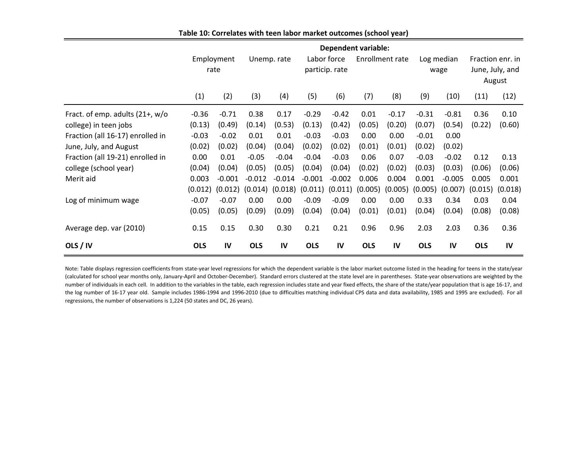|                                    | <b>Dependent variable:</b> |          |             |          |                               |          |                 |         |                    |          |                                               |         |
|------------------------------------|----------------------------|----------|-------------|----------|-------------------------------|----------|-----------------|---------|--------------------|----------|-----------------------------------------------|---------|
|                                    | Employment<br>rate         |          | Unemp. rate |          | Labor force<br>particip. rate |          | Enrollment rate |         | Log median<br>wage |          | Fraction enr. in<br>June, July, and<br>August |         |
|                                    | (1)                        | (2)      | (3)         | (4)      | (5)                           | (6)      | (7)             | (8)     | (9)                | (10)     | (11)                                          | (12)    |
| Fract. of emp. adults $(21+, w/o)$ | $-0.36$                    | $-0.71$  | 0.38        | 0.17     | $-0.29$                       | $-0.42$  | 0.01            | $-0.17$ | $-0.31$            | $-0.81$  | 0.36                                          | 0.10    |
| college) in teen jobs              | (0.13)                     | (0.49)   | (0.14)      | (0.53)   | (0.13)                        | (0.42)   | (0.05)          | (0.20)  | (0.07)             | (0.54)   | (0.22)                                        | (0.60)  |
| Fraction (all 16-17) enrolled in   | $-0.03$                    | $-0.02$  | 0.01        | 0.01     | $-0.03$                       | $-0.03$  | 0.00            | 0.00    | $-0.01$            | 0.00     |                                               |         |
| June, July, and August             | (0.02)                     | (0.02)   | (0.04)      | (0.04)   | (0.02)                        | (0.02)   | (0.01)          | (0.01)  | (0.02)             | (0.02)   |                                               |         |
| Fraction (all 19-21) enrolled in   | 0.00                       | 0.01     | $-0.05$     | $-0.04$  | $-0.04$                       | $-0.03$  | 0.06            | 0.07    | $-0.03$            | $-0.02$  | 0.12                                          | 0.13    |
| college (school year)              | (0.04)                     | (0.04)   | (0.05)      | (0.05)   | (0.04)                        | (0.04)   | (0.02)          | (0.02)  | (0.03)             | (0.03)   | (0.06)                                        | (0.06)  |
| Merit aid                          | 0.003                      | $-0.001$ | $-0.012$    | $-0.014$ | $-0.001$                      | $-0.002$ | 0.006           | 0.004   | 0.001              | $-0.005$ | 0.005                                         | 0.001   |
|                                    | (0.012)                    | (0.012)  | (0.014)     | (0.018)  | (0.011)                       | (0.011)  | (0.005)         | (0.005) | (0.005)            | (0.007)  | (0.015)                                       | (0.018) |
| Log of minimum wage                | $-0.07$                    | $-0.07$  | 0.00        | 0.00     | $-0.09$                       | $-0.09$  | 0.00            | 0.00    | 0.33               | 0.34     | 0.03                                          | 0.04    |
|                                    | (0.05)                     | (0.05)   | (0.09)      | (0.09)   | (0.04)                        | (0.04)   | (0.01)          | (0.01)  | (0.04)             | (0.04)   | (0.08)                                        | (0.08)  |
| Average dep. var (2010)            | 0.15                       | 0.15     | 0.30        | 0.30     | 0.21                          | 0.21     | 0.96            | 0.96    | 2.03               | 2.03     | 0.36                                          | 0.36    |
| OLS / IV                           | <b>OLS</b>                 | IV       | <b>OLS</b>  | IV       | <b>OLS</b>                    | IV       | <b>OLS</b>      | IV      | <b>OLS</b>         | IV       | <b>OLS</b>                                    | IV      |

**Table 10: Correlates with teen labor market outcomes (school year)**

Note: Table displays regression coefficients from state-year level regressions for which the dependent variable is the labor market outcome listed in the heading for teens in the state/year (calculated for school year months only, January‐April and October‐December). Standard errors clustered at the state level are in parentheses. State‐year observations are weighted by the number of individuals in each cell. In addition to the variables in the table, each regression includes state and year fixed effects, the share of the state/year population that is age 16‐17, and the log number of 16‐17 year old. Sample includes 1986‐1994 and 1996‐2010 (due to difficulties matching individual CPS data and data availability, 1985 and 1995 are excluded). For all regressions, the number of observations is 1,224 (50 states and DC, 26 years).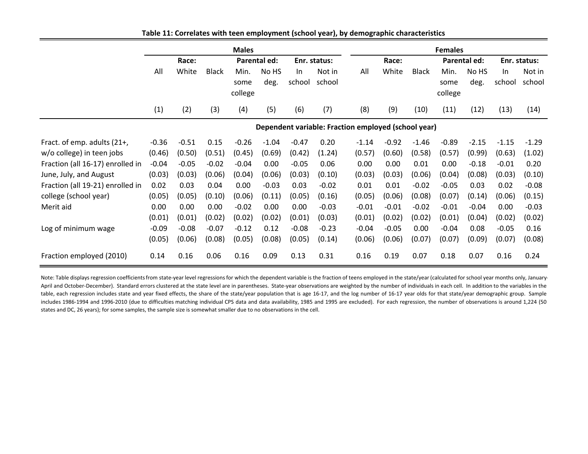|                                  | <b>Males</b> |         |              |                         |               | <b>Females</b> |                  |                                                     |         |              |                         |               |              |                  |  |
|----------------------------------|--------------|---------|--------------|-------------------------|---------------|----------------|------------------|-----------------------------------------------------|---------|--------------|-------------------------|---------------|--------------|------------------|--|
|                                  | Race:        |         |              | Parental ed:            |               |                | Enr. status:     |                                                     | Race:   |              |                         | Parental ed:  |              | Enr. status:     |  |
|                                  | All          | White   | <b>Black</b> | Min.<br>some<br>college | No HS<br>deg. | In.<br>school  | Not in<br>school | All                                                 | White   | <b>Black</b> | Min.<br>some<br>college | No HS<br>deg. | In<br>school | Not in<br>school |  |
|                                  | (1)          | (2)     | (3)          | (4)                     | (5)           | (6)            | (7)              | (8)                                                 | (9)     | (10)         | (11)                    | (12)          | (13)         | (14)             |  |
|                                  |              |         |              |                         |               |                |                  | Dependent variable: Fraction employed (school year) |         |              |                         |               |              |                  |  |
| Fract. of emp. adults (21+,      | $-0.36$      | $-0.51$ | 0.15         | $-0.26$                 | $-1.04$       | $-0.47$        | 0.20             | $-1.14$                                             | $-0.92$ | $-1.46$      | $-0.89$                 | $-2.15$       | $-1.15$      | $-1.29$          |  |
| w/o college) in teen jobs        | (0.46)       | (0.50)  | (0.51)       | (0.45)                  | (0.69)        | (0.42)         | (1.24)           | (0.57)                                              | (0.60)  | (0.58)       | (0.57)                  | (0.99)        | (0.63)       | (1.02)           |  |
| Fraction (all 16-17) enrolled in | $-0.04$      | $-0.05$ | $-0.02$      | $-0.04$                 | 0.00          | $-0.05$        | 0.06             | 0.00                                                | 0.00    | 0.01         | 0.00                    | $-0.18$       | $-0.01$      | 0.20             |  |
| June, July, and August           | (0.03)       | (0.03)  | (0.06)       | (0.04)                  | (0.06)        | (0.03)         | (0.10)           | (0.03)                                              | (0.03)  | (0.06)       | (0.04)                  | (0.08)        | (0.03)       | (0.10)           |  |
| Fraction (all 19-21) enrolled in | 0.02         | 0.03    | 0.04         | 0.00                    | $-0.03$       | 0.03           | $-0.02$          | 0.01                                                | 0.01    | $-0.02$      | $-0.05$                 | 0.03          | 0.02         | $-0.08$          |  |
| college (school year)            | (0.05)       | (0.05)  | (0.10)       | (0.06)                  | (0.11)        | (0.05)         | (0.16)           | (0.05)                                              | (0.06)  | (0.08)       | (0.07)                  | (0.14)        | (0.06)       | (0.15)           |  |
| Merit aid                        | 0.00         | 0.00    | 0.00         | $-0.02$                 | 0.00          | 0.00           | $-0.03$          | $-0.01$                                             | $-0.01$ | $-0.02$      | $-0.01$                 | $-0.04$       | 0.00         | $-0.03$          |  |
|                                  | (0.01)       | (0.01)  | (0.02)       | (0.02)                  | (0.02)        | (0.01)         | (0.03)           | (0.01)                                              | (0.02)  | (0.02)       | (0.01)                  | (0.04)        | (0.02)       | (0.02)           |  |
| Log of minimum wage              | $-0.09$      | $-0.08$ | $-0.07$      | $-0.12$                 | 0.12          | $-0.08$        | $-0.23$          | $-0.04$                                             | $-0.05$ | 0.00         | $-0.04$                 | 0.08          | $-0.05$      | 0.16             |  |
|                                  | (0.05)       | (0.06)  | (0.08)       | (0.05)                  | (0.08)        | (0.05)         | (0.14)           | (0.06)                                              | (0.06)  | (0.07)       | (0.07)                  | (0.09)        | (0.07)       | (0.08)           |  |
| Fraction employed (2010)         | 0.14         | 0.16    | 0.06         | 0.16                    | 0.09          | 0.13           | 0.31             | 0.16                                                | 0.19    | 0.07         | 0.18                    | 0.07          | 0.16         | 0.24             |  |

**Table 11: Correlates with teen employment (school year), by demographic characteristics**

Note: Table displays regression coefficients from state-year level regressions for which the dependent variable is the fraction of teens employed in the state/year (calculated for school year months only, January‐ April and October-December). Standard errors clustered at the state level are in parentheses. State-year observations are weighted by the number of individuals in each cell. In addition to the variables in the table, each regression includes state and year fixed effects, the share of the state/year population that is age 16-17, and the log number of 16-17 year olds for that state/year demographic group. Sample includes 1986-1994 and 1996-2010 (due to difficulties matching individual CPS data and data availability, 1985 and 1995 are excluded). For each regression, the number of observations is around 1,224 (50 states and DC, 26 years); for some samples, the sample size is somewhat smaller due to no observations in the cell.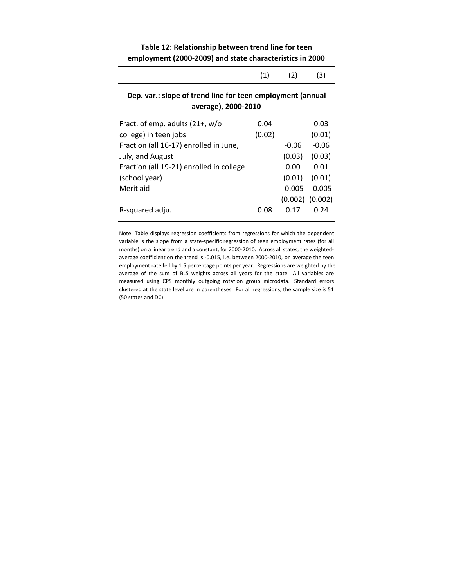| Table 12: Relationship between trend line for teen       |
|----------------------------------------------------------|
| employment (2000-2009) and state characteristics in 2000 |

|                                                                                   | (1)    | (2)     | (3)     |  |  |  |  |  |  |
|-----------------------------------------------------------------------------------|--------|---------|---------|--|--|--|--|--|--|
| Dep. var.: slope of trend line for teen employment (annual<br>average), 2000-2010 |        |         |         |  |  |  |  |  |  |
| Fract. of emp. adults $(21+, w/\sigma)$                                           | 0.04   |         | 0.03    |  |  |  |  |  |  |
| college) in teen jobs                                                             | (0.02) |         | (0.01)  |  |  |  |  |  |  |
| Fraction (all 16-17) enrolled in June,                                            |        | $-0.06$ | $-0.06$ |  |  |  |  |  |  |
| July, and August                                                                  |        | (0.03)  | (0.03)  |  |  |  |  |  |  |
| Fraction (all 19-21) enrolled in college                                          |        | 0.00    | 0.01    |  |  |  |  |  |  |
| (school year)                                                                     |        | (0.01)  | (0.01)  |  |  |  |  |  |  |

‐0.005 ‐0.005 (0.002) (0.002)

Note: Table displays regression coefficients from regressions for which the dependent variable is the slope from a state‐specific regression of teen employment rates (for all months) on a linear trend and a constant, for 2000-2010. Across all states, the weightedaverage coefficient on the trend is ‐0.015, i.e. between 2000‐2010, on average the teen employment rate fell by 1.5 percentage points per year. Regressions are weighted by the average of the sum of BLS weights across all years for the state. All variables are measured using CPS monthly outgoing rotation group microdata. Standard errors clustered at the state level are in parentheses. For all regressions, the sample size is 51 (50 states and DC).

R‐squared adju. 0.08 0.17 0.24

Merit aid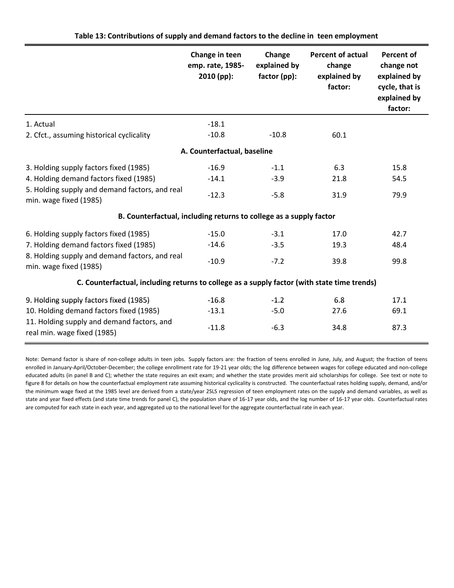|                                                                                             | Change in teen<br>emp. rate, 1985-<br>2010 (pp): | Change<br>explained by<br>factor (pp): | <b>Percent of actual</b><br>change<br>explained by<br>factor: | <b>Percent of</b><br>change not<br>explained by<br>cycle, that is<br>explained by<br>factor: |  |  |  |  |  |
|---------------------------------------------------------------------------------------------|--------------------------------------------------|----------------------------------------|---------------------------------------------------------------|----------------------------------------------------------------------------------------------|--|--|--|--|--|
| 1. Actual                                                                                   | $-18.1$                                          |                                        |                                                               |                                                                                              |  |  |  |  |  |
| 2. Cfct., assuming historical cyclicality                                                   | $-10.8$                                          | $-10.8$                                | 60.1                                                          |                                                                                              |  |  |  |  |  |
|                                                                                             | A. Counterfactual, baseline                      |                                        |                                                               |                                                                                              |  |  |  |  |  |
| 3. Holding supply factors fixed (1985)                                                      | $-16.9$                                          | $-1.1$                                 | 6.3                                                           | 15.8                                                                                         |  |  |  |  |  |
| 4. Holding demand factors fixed (1985)                                                      | $-14.1$                                          | $-3.9$                                 | 21.8                                                          | 54.5                                                                                         |  |  |  |  |  |
| 5. Holding supply and demand factors, and real<br>min. wage fixed (1985)                    | $-12.3$                                          | $-5.8$                                 | 31.9                                                          | 79.9                                                                                         |  |  |  |  |  |
| B. Counterfactual, including returns to college as a supply factor                          |                                                  |                                        |                                                               |                                                                                              |  |  |  |  |  |
| 6. Holding supply factors fixed (1985)                                                      | $-15.0$                                          | $-3.1$                                 | 17.0                                                          | 42.7                                                                                         |  |  |  |  |  |
| 7. Holding demand factors fixed (1985)                                                      | $-14.6$                                          | $-3.5$                                 | 19.3                                                          | 48.4                                                                                         |  |  |  |  |  |
| 8. Holding supply and demand factors, and real<br>min. wage fixed (1985)                    | $-10.9$                                          | $-7.2$                                 | 39.8                                                          | 99.8                                                                                         |  |  |  |  |  |
| C. Counterfactual, including returns to college as a supply factor (with state time trends) |                                                  |                                        |                                                               |                                                                                              |  |  |  |  |  |
| 9. Holding supply factors fixed (1985)                                                      | $-16.8$                                          | $-1.2$                                 | 6.8                                                           | 17.1                                                                                         |  |  |  |  |  |
| 10. Holding demand factors fixed (1985)                                                     | $-13.1$                                          | $-5.0$                                 | 27.6                                                          | 69.1                                                                                         |  |  |  |  |  |
| 11. Holding supply and demand factors, and<br>real min. wage fixed (1985)                   | $-11.8$                                          | $-6.3$                                 | 34.8                                                          | 87.3                                                                                         |  |  |  |  |  |

Note: Demand factor is share of non-college adults in teen jobs. Supply factors are: the fraction of teens enrolled in June, July, and August; the fraction of teens enrolled in January‐April/October‐December; the college enrollment rate for 19‐21 year olds; the log difference between wages for college educated and non‐college educated adults (in panel B and C); whether the state requires an exit exam; and whether the state provides merit aid scholarships for college. See text or note to figure 8 for details on how the counterfactual employment rate assuming historical cyclicality is constructed. The counterfactual rates holding supply, demand, and/or the minimum wage fixed at the 1985 level are derived from a state/year 2SLS regression of teen employment rates on the supply and demand variables, as well as state and year fixed effects (and state time trends for panel C), the population share of 16-17 year olds, and the log number of 16-17 year olds. Counterfactual rates are computed for each state in each year, and aggregated up to the national level for the aggregate counterfactual rate in each year.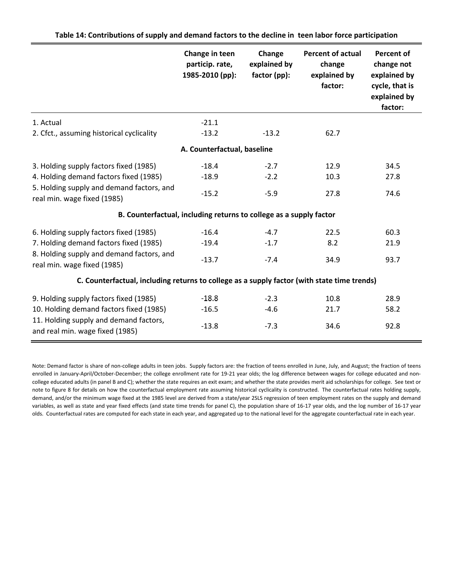|                                                                                             | Change in teen<br>particip. rate,<br>1985-2010 (pp):               | Change<br>explained by<br>factor (pp): | <b>Percent of actual</b><br>change<br>explained by<br>factor: | <b>Percent of</b><br>change not<br>explained by<br>cycle, that is<br>explained by<br>factor: |  |  |  |  |  |
|---------------------------------------------------------------------------------------------|--------------------------------------------------------------------|----------------------------------------|---------------------------------------------------------------|----------------------------------------------------------------------------------------------|--|--|--|--|--|
| 1. Actual                                                                                   | $-21.1$                                                            |                                        |                                                               |                                                                                              |  |  |  |  |  |
| 2. Cfct., assuming historical cyclicality                                                   | $-13.2$                                                            | $-13.2$                                | 62.7                                                          |                                                                                              |  |  |  |  |  |
|                                                                                             | A. Counterfactual, baseline                                        |                                        |                                                               |                                                                                              |  |  |  |  |  |
| 3. Holding supply factors fixed (1985)                                                      | $-18.4$                                                            | $-2.7$                                 | 12.9                                                          | 34.5                                                                                         |  |  |  |  |  |
| 4. Holding demand factors fixed (1985)                                                      | $-18.9$                                                            | $-2.2$                                 | 10.3                                                          | 27.8                                                                                         |  |  |  |  |  |
| 5. Holding supply and demand factors, and<br>real min. wage fixed (1985)                    | $-15.2$                                                            | $-5.9$                                 | 27.8                                                          | 74.6                                                                                         |  |  |  |  |  |
|                                                                                             | B. Counterfactual, including returns to college as a supply factor |                                        |                                                               |                                                                                              |  |  |  |  |  |
| 6. Holding supply factors fixed (1985)                                                      | $-16.4$                                                            | $-4.7$                                 | 22.5                                                          | 60.3                                                                                         |  |  |  |  |  |
| 7. Holding demand factors fixed (1985)                                                      | $-19.4$                                                            | $-1.7$                                 | 8.2                                                           | 21.9                                                                                         |  |  |  |  |  |
| 8. Holding supply and demand factors, and<br>real min. wage fixed (1985)                    | $-13.7$                                                            | $-7.4$                                 | 34.9                                                          | 93.7                                                                                         |  |  |  |  |  |
| C. Counterfactual, including returns to college as a supply factor (with state time trends) |                                                                    |                                        |                                                               |                                                                                              |  |  |  |  |  |
| 9. Holding supply factors fixed (1985)                                                      | $-18.8$                                                            | $-2.3$                                 | 10.8                                                          | 28.9                                                                                         |  |  |  |  |  |
| 10. Holding demand factors fixed (1985)                                                     | $-16.5$                                                            | $-4.6$                                 | 21.7                                                          | 58.2                                                                                         |  |  |  |  |  |
| 11. Holding supply and demand factors,<br>and real min. wage fixed (1985)                   | $-13.8$                                                            | $-7.3$                                 | 34.6                                                          | 92.8                                                                                         |  |  |  |  |  |

**Table 14: Contributions of supply and demand factors to the decline in teen labor force participation**

Note: Demand factor is share of non‐college adults in teen jobs. Supply factors are: the fraction of teens enrolled in June, July, and August; the fraction of teens enrolled in January‐April/October‐December; the college enrollment rate for 19‐21 year olds; the log difference between wages for college educated and non‐ college educated adults (in panel B and C); whether the state requires an exit exam; and whether the state provides merit aid scholarships for college. See text or note to figure 8 for details on how the counterfactual employment rate assuming historical cyclicality is constructed. The counterfactual rates holding supply, demand, and/or the minimum wage fixed at the 1985 level are derived from a state/year 2SLS regression of teen employment rates on the supply and demand variables, as well as state and year fixed effects (and state time trends for panel C), the population share of 16-17 year olds, and the log number of 16-17 year olds. Counterfactual rates are computed for each state in each year, and aggregated up to the national level for the aggregate counterfactual rate in each year.